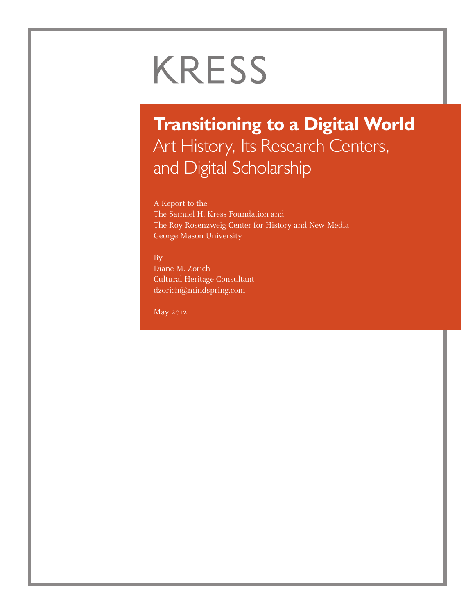# **KRESS**

# **Transitioning to a Digital World** Art History, Its Research Centers, and Digital Scholarship

A Report to the The Samuel H. Kress Foundation and The Roy Rosenzweig Center for History and New Media George Mason University

By

Diane M. Zorich Cultural Heritage Consultant dzorich@mindspring.com

May 2012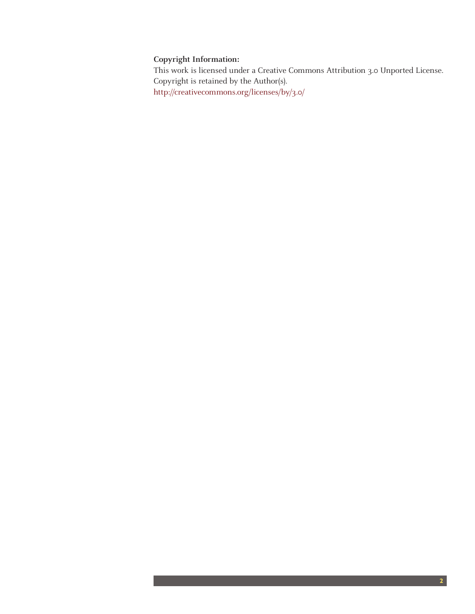#### **Copyright Information:**

This work is licensed under a Creative Commons Attribution 3.0 Unported License. Copyright is retained by the Author(s). http://creativecommons.org/licenses/by/3.0/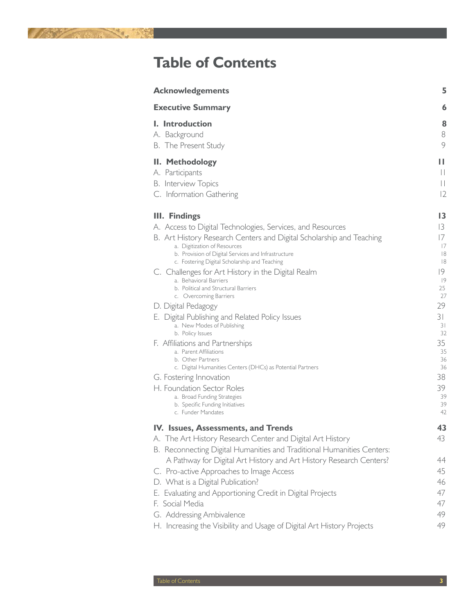

# **Table of Contents**

| <b>Acknowledgements</b>                                                                                                                                                                                                                                                                                                                                                                                                                                                                                                                                                                                                                                                                                                                                                                                                                                                            | 5                                                                                                                                      |
|------------------------------------------------------------------------------------------------------------------------------------------------------------------------------------------------------------------------------------------------------------------------------------------------------------------------------------------------------------------------------------------------------------------------------------------------------------------------------------------------------------------------------------------------------------------------------------------------------------------------------------------------------------------------------------------------------------------------------------------------------------------------------------------------------------------------------------------------------------------------------------|----------------------------------------------------------------------------------------------------------------------------------------|
| <b>Executive Summary</b>                                                                                                                                                                                                                                                                                                                                                                                                                                                                                                                                                                                                                                                                                                                                                                                                                                                           | 6                                                                                                                                      |
| <b>I.</b> Introduction<br>A. Background<br>B. The Present Study                                                                                                                                                                                                                                                                                                                                                                                                                                                                                                                                                                                                                                                                                                                                                                                                                    | 8<br>8<br>9                                                                                                                            |
| II. Methodology<br>A. Participants<br><b>B.</b> Interview Topics<br>C. Information Gathering                                                                                                                                                                                                                                                                                                                                                                                                                                                                                                                                                                                                                                                                                                                                                                                       | П<br>$\begin{array}{c} \hline \end{array}$<br>$\begin{array}{c} \hline \end{array}$<br> 2                                              |
| <b>III. Findings</b><br>A. Access to Digital Technologies, Services, and Resources<br>B. Art History Research Centers and Digital Scholarship and Teaching<br>a. Digitization of Resources<br>b. Provision of Digital Services and Infrastructure<br>c. Fostering Digital Scholarship and Teaching<br>C. Challenges for Art History in the Digital Realm<br>a. Behavioral Barriers<br>b. Political and Structural Barriers<br>c. Overcoming Barriers<br>D. Digital Pedagogy<br>E. Digital Publishing and Related Policy Issues<br>a. New Modes of Publishing<br>b. Policy Issues<br>F. Affiliations and Partnerships<br>a. Parent Affiliations<br>b. Other Partners<br>c. Digital Humanities Centers (DHCs) as Potential Partners<br>G. Fostering Innovation<br>H. Foundation Sector Roles<br>a. Broad Funding Strategies<br>b. Specific Funding Initiatives<br>c. Funder Mandates | 13<br>13<br>17<br>17<br> 8<br> 8<br> 9<br> 9<br>25<br>27<br>29<br>31<br>31<br>32<br>35<br>35<br>36<br>36<br>38<br>39<br>39<br>39<br>42 |
| IV. Issues, Assessments, and Trends<br>A. The Art History Research Center and Digital Art History<br>B. Reconnecting Digital Humanities and Traditional Humanities Centers:<br>A Pathway for Digital Art History and Art History Research Centers?<br>C. Pro-active Approaches to Image Access<br>D. What is a Digital Publication?<br>E. Evaluating and Apportioning Credit in Digital Projects<br>F. Social Media<br>G. Addressing Ambivalence<br>H. Increasing the Visibility and Usage of Digital Art History Projects                                                                                                                                                                                                                                                                                                                                                         | 43<br>43<br>44<br>45<br>46<br>47<br>47<br>49<br>49                                                                                     |
|                                                                                                                                                                                                                                                                                                                                                                                                                                                                                                                                                                                                                                                                                                                                                                                                                                                                                    |                                                                                                                                        |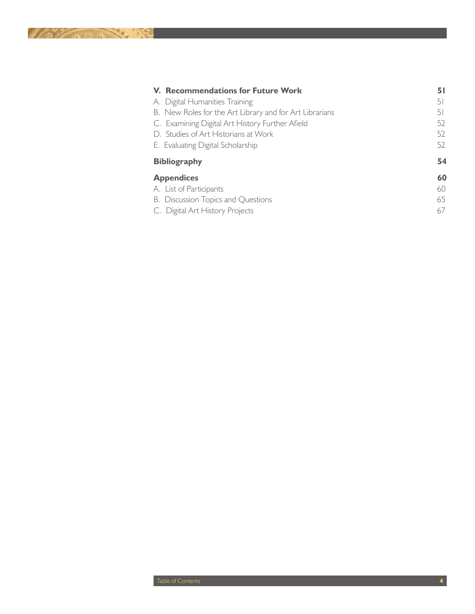| <b>V. Recommendations for Future Work</b>               | 51 |
|---------------------------------------------------------|----|
| A. Digital Humanities Training                          | 51 |
| B. New Roles for the Art Library and for Art Librarians | 51 |
| C. Examining Digital Art History Further Afield         | 52 |
| D. Studies of Art Historians at Work                    | 52 |
| E. Evaluating Digital Scholarship                       | 52 |
| <b>Bibliography</b>                                     | 54 |
| <b>Appendices</b>                                       | 60 |
| A. List of Participants                                 | 60 |
| B. Discussion Topics and Questions                      | 65 |
| C. Digital Art History Projects                         | 67 |
|                                                         |    |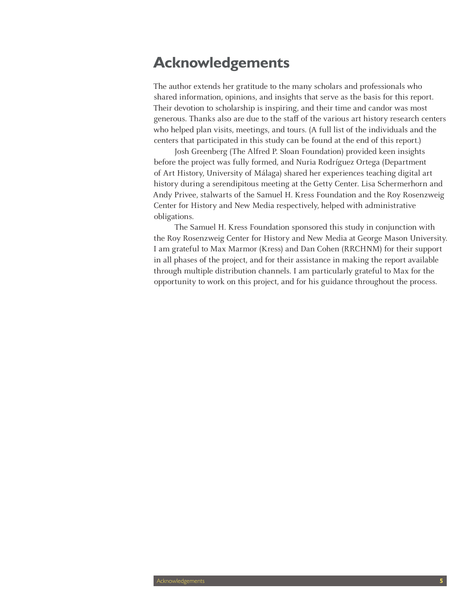# **Acknowledgements**

The author extends her gratitude to the many scholars and professionals who shared information, opinions, and insights that serve as the basis for this report. Their devotion to scholarship is inspiring, and their time and candor was most generous. Thanks also are due to the staff of the various art history research centers who helped plan visits, meetings, and tours. (A full list of the individuals and the centers that participated in this study can be found at the end of this report.)

Josh Greenberg (The Alfred P. Sloan Foundation) provided keen insights before the project was fully formed, and Nuria Rodríguez Ortega (Department of Art History, University of Málaga) shared her experiences teaching digital art history during a serendipitous meeting at the Getty Center. Lisa Schermerhorn and Andy Privee, stalwarts of the Samuel H. Kress Foundation and the Roy Rosenzweig Center for History and New Media respectively, helped with administrative obligations.

The Samuel H. Kress Foundation sponsored this study in conjunction with the Roy Rosenzweig Center for History and New Media at George Mason University. I am grateful to Max Marmor (Kress) and Dan Cohen (RRCHNM) for their support in all phases of the project, and for their assistance in making the report available through multiple distribution channels. I am particularly grateful to Max for the opportunity to work on this project, and for his guidance throughout the process.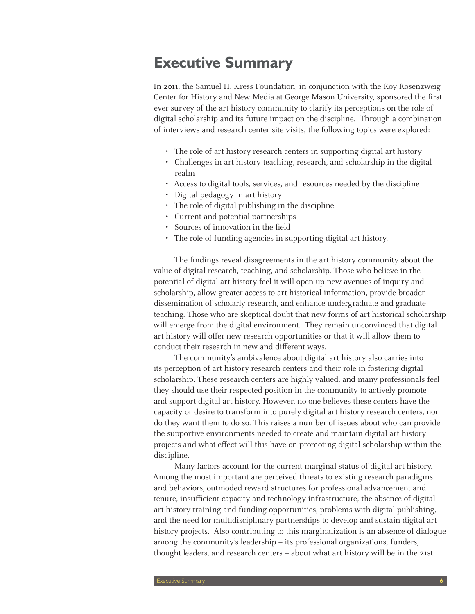# **Executive Summary**

In 2011, the Samuel H. Kress Foundation, in conjunction with the Roy Rosenzweig Center for History and New Media at George Mason University, sponsored the first ever survey of the art history community to clarify its perceptions on the role of digital scholarship and its future impact on the discipline. Through a combination of interviews and research center site visits, the following topics were explored:

- The role of art history research centers in supporting digital art history
- Challenges in art history teaching, research, and scholarship in the digital realm
- • Access to digital tools, services, and resources needed by the discipline
- Digital pedagogy in art history
- The role of digital publishing in the discipline
- • Current and potential partnerships
- Sources of innovation in the field
- The role of funding agencies in supporting digital art history.

The findings reveal disagreements in the art history community about the value of digital research, teaching, and scholarship. Those who believe in the potential of digital art history feel it will open up new avenues of inquiry and scholarship, allow greater access to art historical information, provide broader dissemination of scholarly research, and enhance undergraduate and graduate teaching. Those who are skeptical doubt that new forms of art historical scholarship will emerge from the digital environment. They remain unconvinced that digital art history will offer new research opportunities or that it will allow them to conduct their research in new and different ways.

The community's ambivalence about digital art history also carries into its perception of art history research centers and their role in fostering digital scholarship. These research centers are highly valued, and many professionals feel they should use their respected position in the community to actively promote and support digital art history. However, no one believes these centers have the capacity or desire to transform into purely digital art history research centers, nor do they want them to do so. This raises a number of issues about who can provide the supportive environments needed to create and maintain digital art history projects and what effect will this have on promoting digital scholarship within the discipline.

Many factors account for the current marginal status of digital art history. Among the most important are perceived threats to existing research paradigms and behaviors, outmoded reward structures for professional advancement and tenure, insufficient capacity and technology infrastructure, the absence of digital art history training and funding opportunities, problems with digital publishing, and the need for multidisciplinary partnerships to develop and sustain digital art history projects. Also contributing to this marginalization is an absence of dialogue among the community's leadership – its professional organizations, funders, thought leaders, and research centers – about what art history will be in the 21st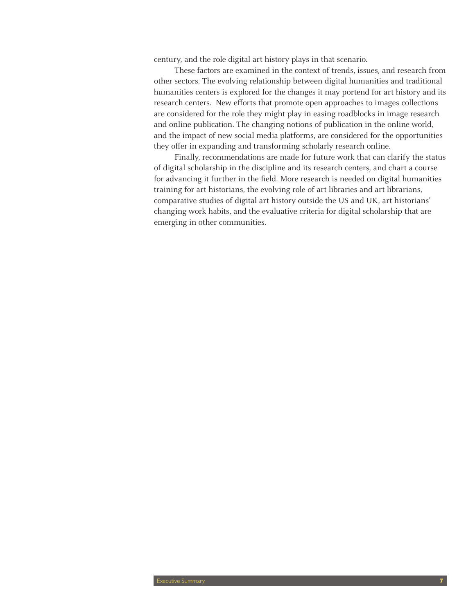century, and the role digital art history plays in that scenario.

These factors are examined in the context of trends, issues, and research from other sectors. The evolving relationship between digital humanities and traditional humanities centers is explored for the changes it may portend for art history and its research centers. New efforts that promote open approaches to images collections are considered for the role they might play in easing roadblocks in image research and online publication. The changing notions of publication in the online world, and the impact of new social media platforms, are considered for the opportunities they offer in expanding and transforming scholarly research online.

Finally, recommendations are made for future work that can clarify the status of digital scholarship in the discipline and its research centers, and chart a course for advancing it further in the field. More research is needed on digital humanities training for art historians, the evolving role of art libraries and art librarians, comparative studies of digital art history outside the US and UK, art historians' changing work habits, and the evaluative criteria for digital scholarship that are emerging in other communities.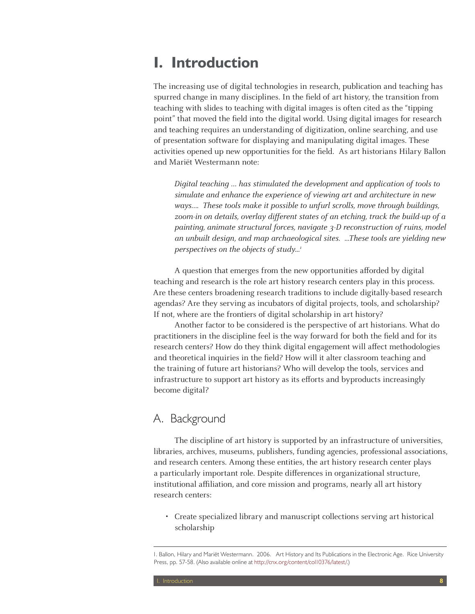# **I. Introduction**

The increasing use of digital technologies in research, publication and teaching has spurred change in many disciplines. In the field of art history, the transition from teaching with slides to teaching with digital images is often cited as the "tipping point" that moved the field into the digital world. Using digital images for research and teaching requires an understanding of digitization, online searching, and use of presentation software for displaying and manipulating digital images. These activities opened up new opportunities for the field. As art historians Hilary Ballon and Mariët Westermann note:

Digital teaching … has stimulated the development and application of tools to simulate and enhance the experience of viewing art and architecture in new ways…. These tools make it possible to unfurl scrolls, move through buildings, zoom-in on details, overlay different states of an etching, track the build-up of a painting, animate structural forces, navigate 3-D reconstruction of ruins, model an unbuilt design, and map archaeological sites. ...These tools are yielding new perspectives on the objects of study...<sup>1</sup>

A question that emerges from the new opportunities afforded by digital teaching and research is the role art history research centers play in this process. Are these centers broadening research traditions to include digitally-based research agendas? Are they serving as incubators of digital projects, tools, and scholarship? If not, where are the frontiers of digital scholarship in art history?

Another factor to be considered is the perspective of art historians. What do practitioners in the discipline feel is the way forward for both the field and for its research centers? How do they think digital engagement will affect methodologies and theoretical inquiries in the field? How will it alter classroom teaching and the training of future art historians? Who will develop the tools, services and infrastructure to support art history as its efforts and byproducts increasingly become digital?

### A. Background

The discipline of art history is supported by an infrastructure of universities, libraries, archives, museums, publishers, funding agencies, professional associations, and research centers. Among these entities, the art history research center plays a particularly important role. Despite differences in organizational structure, institutional affiliation, and core mission and programs, nearly all art history research centers:

• Create specialized library and manuscript collections serving art historical scholarship

<sup>1.</sup> Ballon, Hilary and Mariët Westermann. 2006. Art History and Its Publications in the Electronic Age. Rice University Press, pp. 57-58. (Also available online at http://cnx.org/content/col10376/latest/.)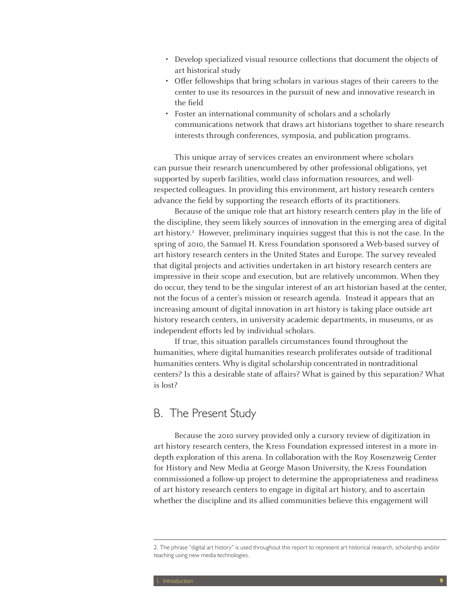- Develop specialized visual resource collections that document the objects of art historical study
- Offer fellowships that bring scholars in various stages of their careers to the center to use its resources in the pursuit of new and innovative research in the field
- Foster an international community of scholars and a scholarly communications network that draws art historians together to share research interests through conferences, symposia, and publication programs.

This unique array of services creates an environment where scholars can pursue their research unencumbered by other professional obligations, yet supported by superb facilities, world class information resources, and wellrespected colleagues. In providing this environment, art history research centers advance the field by supporting the research efforts of its practitioners.

Because of the unique role that art history research centers play in the life of the discipline, they seem likely sources of innovation in the emerging area of digital art history.<sup>2</sup> However, preliminary inquiries suggest that this is not the case. In the spring of 2010, the Samuel H. Kress Foundation sponsored a Web-based survey of art history research centers in the United States and Europe. The survey revealed that digital projects and activities undertaken in art history research centers are impressive in their scope and execution, but are relatively uncommon. When they do occur, they tend to be the singular interest of an art historian based at the center, not the focus of a center's mission or research agenda. Instead it appears that an increasing amount of digital innovation in art history is taking place outside art history research centers, in university academic departments, in museums, or as independent efforts led by individual scholars.

If true, this situation parallels circumstances found throughout the humanities, where digital humanities research proliferates outside of traditional humanities centers. Why is digital scholarship concentrated in nontraditional centers? Is this a desirable state of affairs? What is gained by this separation? What is lost?

### B. The Present Study

Because the 2010 survey provided only a cursory review of digitization in art history research centers, the Kress Foundation expressed interest in a more indepth exploration of this arena. In collaboration with the Roy Rosenzweig Center for History and New Media at George Mason University, the Kress Foundation commissioned a follow-up project to determine the appropriateness and readiness of art history research centers to engage in digital art history, and to ascertain whether the discipline and its allied communities believe this engagement will

<sup>2.</sup> The phrase "digital art history" is used throughout this report to represent art historical research, scholarship and/or teaching using new media technologies.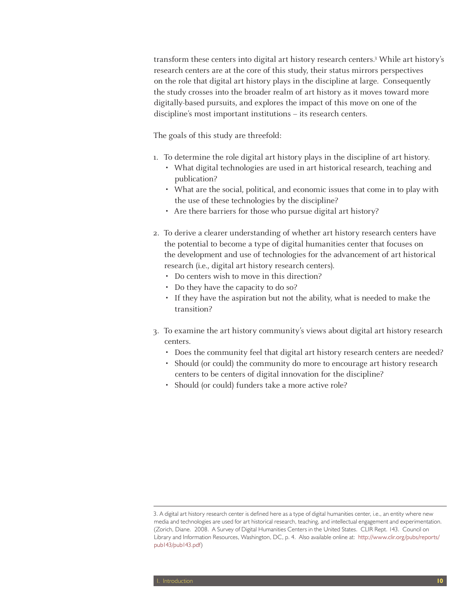transform these centers into digital art history research centers.3 While art history's research centers are at the core of this study, their status mirrors perspectives on the role that digital art history plays in the discipline at large. Consequently the study crosses into the broader realm of art history as it moves toward more digitally-based pursuits, and explores the impact of this move on one of the discipline's most important institutions – its research centers.

The goals of this study are threefold:

- 1. To determine the role digital art history plays in the discipline of art history.
	- What digital technologies are used in art historical research, teaching and publication?
	- • What are the social, political, and economic issues that come in to play with the use of these technologies by the discipline?
	- Are there barriers for those who pursue digital art history?
- 2. To derive a clearer understanding of whether art history research centers have the potential to become a type of digital humanities center that focuses on the development and use of technologies for the advancement of art historical research (i.e., digital art history research centers).
	- Do centers wish to move in this direction?
	- Do they have the capacity to do so?
	- If they have the aspiration but not the ability, what is needed to make the transition?
- 3. To examine the art history community's views about digital art history research centers.
	- Does the community feel that digital art history research centers are needed?
	- Should (or could) the community do more to encourage art history research centers to be centers of digital innovation for the discipline?
	- Should (or could) funders take a more active role?

<sup>3.</sup> A digital art history research center is defined here as a type of digital humanities center, i.e., an entity where new media and technologies are used for art historical research, teaching, and intellectual engagement and experimentation. (Zorich, Diane. 2008. A Survey of Digital Humanities Centers in the United States. CLIR Rept. 143. Council on Library and Information Resources, Washington, DC, p. 4. Also available online at: http://www.clir.org/pubs/reports/ pub143/pub143.pdf)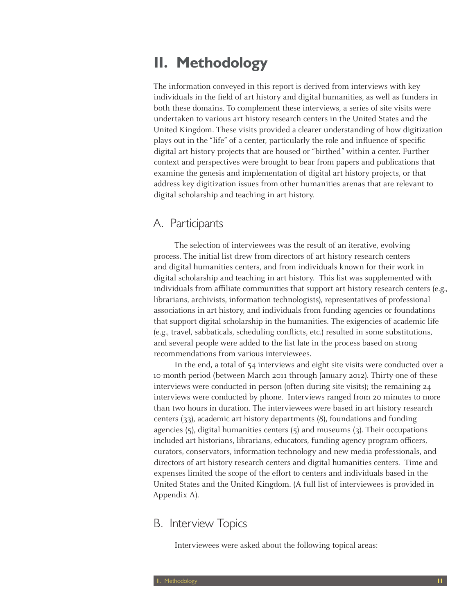# **II. Methodology**

The information conveyed in this report is derived from interviews with key individuals in the field of art history and digital humanities, as well as funders in both these domains. To complement these interviews, a series of site visits were undertaken to various art history research centers in the United States and the United Kingdom. These visits provided a clearer understanding of how digitization plays out in the "life" of a center, particularly the role and influence of specific digital art history projects that are housed or "birthed" within a center. Further context and perspectives were brought to bear from papers and publications that examine the genesis and implementation of digital art history projects, or that address key digitization issues from other humanities arenas that are relevant to digital scholarship and teaching in art history.

# A. Participants

The selection of interviewees was the result of an iterative, evolving process. The initial list drew from directors of art history research centers and digital humanities centers, and from individuals known for their work in digital scholarship and teaching in art history. This list was supplemented with individuals from affiliate communities that support art history research centers (e.g., librarians, archivists, information technologists), representatives of professional associations in art history, and individuals from funding agencies or foundations that support digital scholarship in the humanities. The exigencies of academic life (e.g., travel, sabbaticals, scheduling conflicts, etc.) resulted in some substitutions, and several people were added to the list late in the process based on strong recommendations from various interviewees.

In the end, a total of 54 interviews and eight site visits were conducted over a 10-month period (between March 2011 through January 2012). Thirty-one of these interviews were conducted in person (often during site visits); the remaining 24 interviews were conducted by phone. Interviews ranged from 20 minutes to more than two hours in duration. The interviewees were based in art history research centers (33), academic art history departments (8), foundations and funding agencies  $(5)$ , digital humanities centers  $(5)$  and museums  $(3)$ . Their occupations included art historians, librarians, educators, funding agency program officers, curators, conservators, information technology and new media professionals, and directors of art history research centers and digital humanities centers. Time and expenses limited the scope of the effort to centers and individuals based in the United States and the United Kingdom. (A full list of interviewees is provided in Appendix A).

# B. Interview Topics

Interviewees were asked about the following topical areas: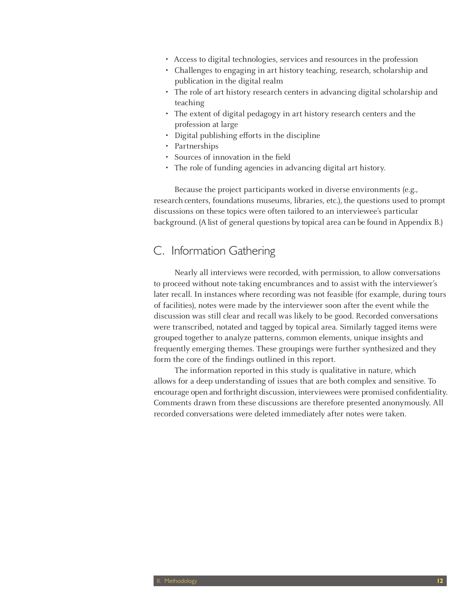- • Access to digital technologies, services and resources in the profession
- Challenges to engaging in art history teaching, research, scholarship and publication in the digital realm
- The role of art history research centers in advancing digital scholarship and teaching
- The extent of digital pedagogy in art history research centers and the profession at large
- Digital publishing efforts in the discipline
- Partnerships
- Sources of innovation in the field
- The role of funding agencies in advancing digital art history.

Because the project participants worked in diverse environments (e.g., research centers, foundations museums, libraries, etc.), the questions used to prompt discussions on these topics were often tailored to an interviewee's particular background. (A list of general questions by topical area can be found in Appendix B.)

### C. Information Gathering

Nearly all interviews were recorded, with permission, to allow conversations to proceed without note-taking encumbrances and to assist with the interviewer's later recall. In instances where recording was not feasible (for example, during tours of facilities), notes were made by the interviewer soon after the event while the discussion was still clear and recall was likely to be good. Recorded conversations were transcribed, notated and tagged by topical area. Similarly tagged items were grouped together to analyze patterns, common elements, unique insights and frequently emerging themes. These groupings were further synthesized and they form the core of the findings outlined in this report.

The information reported in this study is qualitative in nature, which allows for a deep understanding of issues that are both complex and sensitive. To encourage open and forthright discussion, interviewees were promised confidentiality. Comments drawn from these discussions are therefore presented anonymously. All recorded conversations were deleted immediately after notes were taken.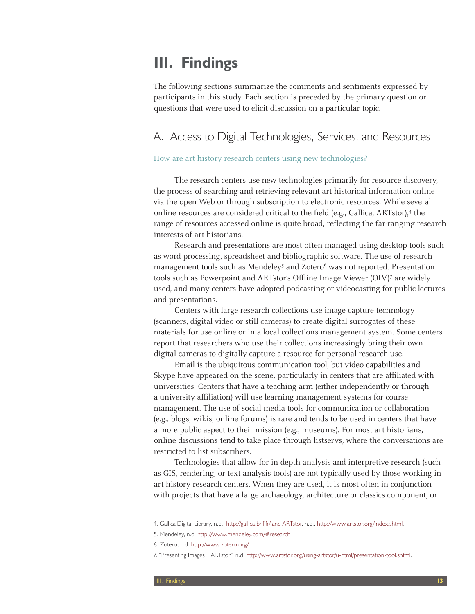# **III. Findings**

The following sections summarize the comments and sentiments expressed by participants in this study. Each section is preceded by the primary question or questions that were used to elicit discussion on a particular topic.

# A. Access to Digital Technologies, Services, and Resources

#### How are art history research centers using new technologies?

The research centers use new technologies primarily for resource discovery, the process of searching and retrieving relevant art historical information online via the open Web or through subscription to electronic resources. While several online resources are considered critical to the field (e.g., Gallica, ARTstor),<sup>4</sup> the range of resources accessed online is quite broad, reflecting the far-ranging research interests of art historians.

Research and presentations are most often managed using desktop tools such as word processing, spreadsheet and bibliographic software. The use of research management tools such as Mendeley<sup>5</sup> and Zotero<sup>6</sup> was not reported. Presentation tools such as Powerpoint and ARTstor's Offline Image Viewer (OIV)7 are widely used, and many centers have adopted podcasting or videocasting for public lectures and presentations.

Centers with large research collections use image capture technology (scanners, digital video or still cameras) to create digital surrogates of these materials for use online or in a local collections management system. Some centers report that researchers who use their collections increasingly bring their own digital cameras to digitally capture a resource for personal research use.

Email is the ubiquitous communication tool, but video capabilities and Skype have appeared on the scene, particularly in centers that are affiliated with universities. Centers that have a teaching arm (either independently or through a university affiliation) will use learning management systems for course management. The use of social media tools for communication or collaboration (e.g., blogs, wikis, online forums) is rare and tends to be used in centers that have a more public aspect to their mission (e.g., museums). For most art historians, online discussions tend to take place through listservs, where the conversations are restricted to list subscribers.

Technologies that allow for in depth analysis and interpretive research (such as GIS, rendering, or text analysis tools) are not typically used by those working in art history research centers. When they are used, it is most often in conjunction with projects that have a large archaeology, architecture or classics component, or

<sup>4.</sup> Gallica Digital Library, n.d. http://gallica.bnf.fr/ and ARTstor, n.d., http://www.artstor.org/index.shtml.

<sup>5.</sup> Mendeley, n.d. http://www.mendeley.com/#research

<sup>6.</sup> Zotero, n.d. http://www.zotero.org/

<sup>7. &</sup>quot;Presenting Images | ARTstor", n.d. http://www.artstor.org/using-artstor/u-html/presentation-tool.shtml.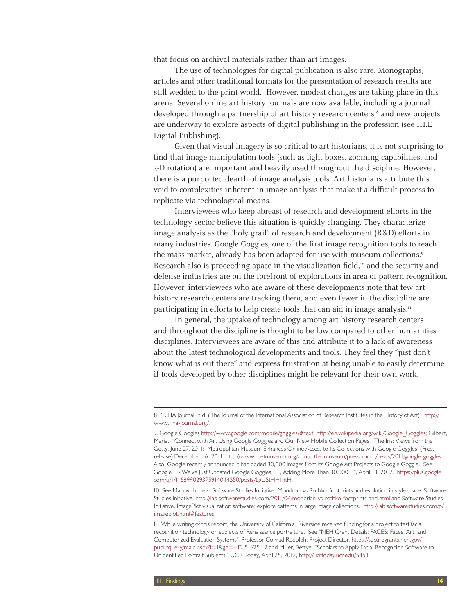that focus on archival materials rather than art images.

The use of technologies for digital publication is also rare. Monographs, articles and other traditional formats for the presentation of research results are still wedded to the print world. However, modest changes are taking place in this arena. Several online art history journals are now available, including a journal developed through a partnership of art history research centers,<sup>8</sup> and new projects are underway to explore aspects of digital publishing in the profession (see III.E Digital Publishing).

Given that visual imagery is so critical to art historians, it is not surprising to find that image manipulation tools (such as light boxes, zooming capabilities, and 3-D rotation) are important and heavily used throughout the discipline. However, there is a purported dearth of image analysis tools. Art historians attribute this void to complexities inherent in image analysis that make it a difficult process to replicate via technological means.

Interviewees who keep abreast of research and development efforts in the technology sector believe this situation is quickly changing. They characterize image analysis as the "holy grail" of research and development (R&D) efforts in many industries. Google Goggles, one of the first image recognition tools to reach the mass market, already has been adapted for use with museum collections.9 Research also is proceeding apace in the visualization field, $10^{\circ}$  and the security and defense industries are on the forefront of explorations in area of pattern recognition. However, interviewees who are aware of these developments note that few art history research centers are tracking them, and even fewer in the discipline are participating in efforts to help create tools that can aid in image analysis.<sup>11</sup>

In general, the uptake of technology among art history research centers and throughout the discipline is thought to be low compared to other humanities disciplines. Interviewees are aware of this and attribute it to a lack of awareness about the latest technological developments and tools. They feel they "just don't know what is out there" and express frustration at being unable to easily determine if tools developed by other disciplines might be relevant for their own work.

10. See Manovich, Lev. Software Studies Initiative. Mondrian vs Rothko: footprints and evolution in style space. Software Studies Initiative; http://lab.softwarestudies.com/2011/06/mondrian-vs-rothko-footprints-and.html and Software Studies Initiative. ImagePlot visualization software: explore patterns in large image collections. http://lab.softwarestudies.com/p/ imageplot.html#features1

<sup>8. &</sup>quot;RIHA Journal, n.d. (The Journal of the International Association of Research Institutes in the History of Art)", http:// www.riha-journal.org/.

<sup>9.</sup> Google Googles http://www.google.com/mobile/goggles/#text http://en.wikipedia.org/wiki/Google\_Goggles; Gilbert, Maria. "Connect with Art Using Google Goggles and Our New Mobile Collection Pages," The Iris: Views from the Getty. June 27, 2011; Metropolitan Museum Enhances Online Access to Its Collections with Google Goggles. (Press release) December 16, 2011. http://www.metmuseum.org/about-the-museum/press-room/news/2011/google-goggles. Also, Google recently announced it had added 30,000 images from its Google Art Projects to Google Goggle. See "Google+ - We've Just Updated Google Goggles….", Adding More Than 30,000…", April 13, 2012, https://plus.google. com/u/1/116899029375914044550/posts/LgU5tHH1ntH.

<sup>11.</sup> While writing of this report, the University of California, Riverside received funding for a project to test facial recognition technology on subjects of Renaissance portraiture. See "NEH Grant Details: FACES: Faces, Art, and Computerized Evaluation Systems", Professor Conrad Rudolph, Project Director, https://securegrants.neh.gov/ publicquery/main.aspx?f=1&gn=HD-51625-12 and Miller, Bettye. "Scholars to Apply Facial Recognition Software to Unidentified Portrait Subjects." UCR Today, April 25, 2012, http://ucrtoday.ucr.edu/5453.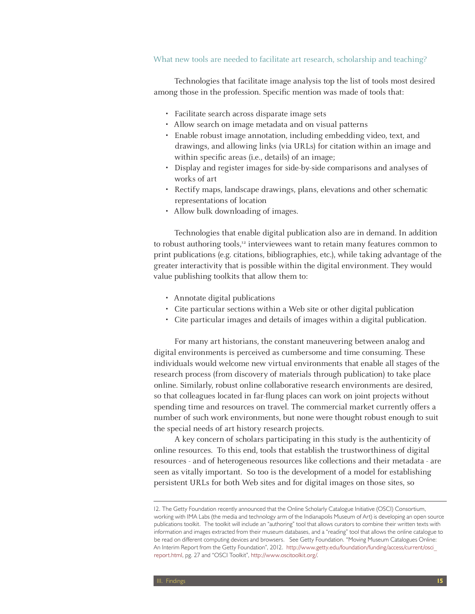#### What new tools are needed to facilitate art research, scholarship and teaching?

Technologies that facilitate image analysis top the list of tools most desired among those in the profession. Specific mention was made of tools that:

- • Facilitate search across disparate image sets
- Allow search on image metadata and on visual patterns
- • Enable robust image annotation, including embedding video, text, and drawings, and allowing links (via URLs) for citation within an image and within specific areas (i.e., details) of an image;
- Display and register images for side-by-side comparisons and analyses of works of art
- Rectify maps, landscape drawings, plans, elevations and other schematic representations of location
- Allow bulk downloading of images.

Technologies that enable digital publication also are in demand. In addition to robust authoring tools, $12$  interviewees want to retain many features common to print publications (e.g. citations, bibliographies, etc.), while taking advantage of the greater interactivity that is possible within the digital environment. They would value publishing toolkits that allow them to:

- • Annotate digital publications
- Cite particular sections within a Web site or other digital publication
- • Cite particular images and details of images within a digital publication.

For many art historians, the constant maneuvering between analog and digital environments is perceived as cumbersome and time consuming. These individuals would welcome new virtual environments that enable all stages of the research process (from discovery of materials through publication) to take place online. Similarly, robust online collaborative research environments are desired, so that colleagues located in far-flung places can work on joint projects without spending time and resources on travel. The commercial market currently offers a number of such work environments, but none were thought robust enough to suit the special needs of art history research projects.

A key concern of scholars participating in this study is the authenticity of online resources. To this end, tools that establish the trustworthiness of digital resources - and of heterogeneous resources like collections and their metadata - are seen as vitally important. So too is the development of a model for establishing persistent URLs for both Web sites and for digital images on those sites, so

<sup>12.</sup> The Getty Foundation recently announced that the Online Scholarly Catalogue Initiative (OSCI) Consortium, working with IMA Labs (the media and technology arm of the Indianapolis Museum of Art) is developing an open source publications toolkit. The toolkit will include an "authoring" tool that allows curators to combine their written texts with information and images extracted from their museum databases, and a "reading" tool that allows the online catalogue to be read on different computing devices and browsers. See Getty Foundation. "Moving Museum Catalogues Online: An Interim Report from the Getty Foundation", 2012. http://www.getty.edu/foundation/funding/access/current/osci\_ report.html, pg. 27 and "OSCI Toolkit", http://www.oscitoolkit.org/.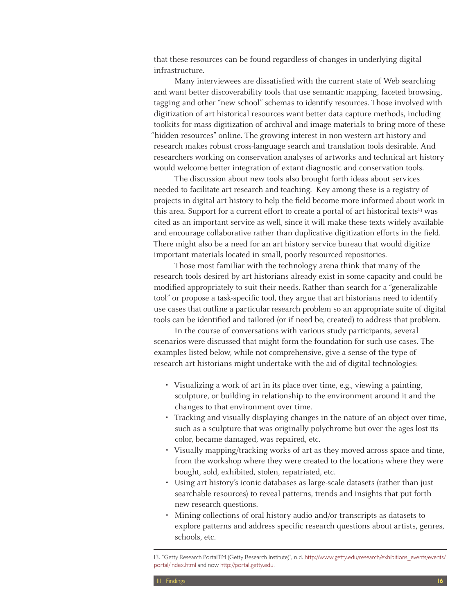that these resources can be found regardless of changes in underlying digital infrastructure.

Many interviewees are dissatisfied with the current state of Web searching and want better discoverability tools that use semantic mapping, faceted browsing, tagging and other "new school" schemas to identify resources. Those involved with digitization of art historical resources want better data capture methods, including toolkits for mass digitization of archival and image materials to bring more of these "hidden resources" online. The growing interest in non-western art history and research makes robust cross-language search and translation tools desirable. And researchers working on conservation analyses of artworks and technical art history would welcome better integration of extant diagnostic and conservation tools.

The discussion about new tools also brought forth ideas about services needed to facilitate art research and teaching. Key among these is a registry of projects in digital art history to help the field become more informed about work in this area. Support for a current effort to create a portal of art historical texts $13$  was cited as an important service as well, since it will make these texts widely available and encourage collaborative rather than duplicative digitization efforts in the field. There might also be a need for an art history service bureau that would digitize important materials located in small, poorly resourced repositories.

Those most familiar with the technology arena think that many of the research tools desired by art historians already exist in some capacity and could be modified appropriately to suit their needs. Rather than search for a "generalizable tool" or propose a task-specific tool, they argue that art historians need to identify use cases that outline a particular research problem so an appropriate suite of digital tools can be identified and tailored (or if need be, created) to address that problem.

In the course of conversations with various study participants, several scenarios were discussed that might form the foundation for such use cases. The examples listed below, while not comprehensive, give a sense of the type of research art historians might undertake with the aid of digital technologies:

- Visualizing a work of art in its place over time, e.g., viewing a painting, sculpture, or building in relationship to the environment around it and the changes to that environment over time.
- Tracking and visually displaying changes in the nature of an object over time, such as a sculpture that was originally polychrome but over the ages lost its color, became damaged, was repaired, etc.
- • Visually mapping/tracking works of art as they moved across space and time, from the workshop where they were created to the locations where they were bought, sold, exhibited, stolen, repatriated, etc.
- Using art history's iconic databases as large-scale datasets (rather than just searchable resources) to reveal patterns, trends and insights that put forth new research questions.
- Mining collections of oral history audio and/or transcripts as datasets to explore patterns and address specific research questions about artists, genres, schools, etc.

<sup>13. &</sup>quot;Getty Research PortalTM (Getty Research Institute)", n.d. http://www.getty.edu/research/exhibitions\_events/events/ portal/index.html and now http://portal.getty.edu.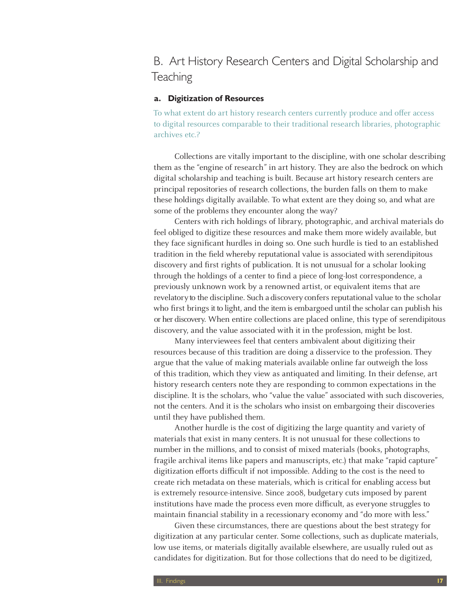B. Art History Research Centers and Digital Scholarship and **Teaching** 

#### **a. Digitization of Resources**

To what extent do art history research centers currently produce and offer access to digital resources comparable to their traditional research libraries, photographic archives etc.?

Collections are vitally important to the discipline, with one scholar describing them as the "engine of research" in art history. They are also the bedrock on which digital scholarship and teaching is built. Because art history research centers are principal repositories of research collections, the burden falls on them to make these holdings digitally available. To what extent are they doing so, and what are some of the problems they encounter along the way?

Centers with rich holdings of library, photographic, and archival materials do feel obliged to digitize these resources and make them more widely available, but they face significant hurdles in doing so. One such hurdle is tied to an established tradition in the field whereby reputational value is associated with serendipitous discovery and first rights of publication. It is not unusual for a scholar looking through the holdings of a center to find a piece of long-lost correspondence, a previously unknown work by a renowned artist, or equivalent items that are revelatory to the discipline. Such a discovery confers reputational value to the scholar who first brings it to light, and the item is embargoed until the scholar can publish his or her discovery. When entire collections are placed online, this type of serendipitous discovery, and the value associated with it in the profession, might be lost.

Many interviewees feel that centers ambivalent about digitizing their resources because of this tradition are doing a disservice to the profession. They argue that the value of making materials available online far outweigh the loss of this tradition, which they view as antiquated and limiting. In their defense, art history research centers note they are responding to common expectations in the discipline. It is the scholars, who "value the value" associated with such discoveries, not the centers. And it is the scholars who insist on embargoing their discoveries until they have published them.

Another hurdle is the cost of digitizing the large quantity and variety of materials that exist in many centers. It is not unusual for these collections to number in the millions, and to consist of mixed materials (books, photographs, fragile archival items like papers and manuscripts, etc.) that make "rapid capture" digitization efforts difficult if not impossible. Adding to the cost is the need to create rich metadata on these materials, which is critical for enabling access but is extremely resource-intensive. Since 2008, budgetary cuts imposed by parent institutions have made the process even more difficult, as everyone struggles to maintain financial stability in a recessionary economy and "do more with less."

Given these circumstances, there are questions about the best strategy for digitization at any particular center. Some collections, such as duplicate materials, low use items, or materials digitally available elsewhere, are usually ruled out as candidates for digitization. But for those collections that do need to be digitized,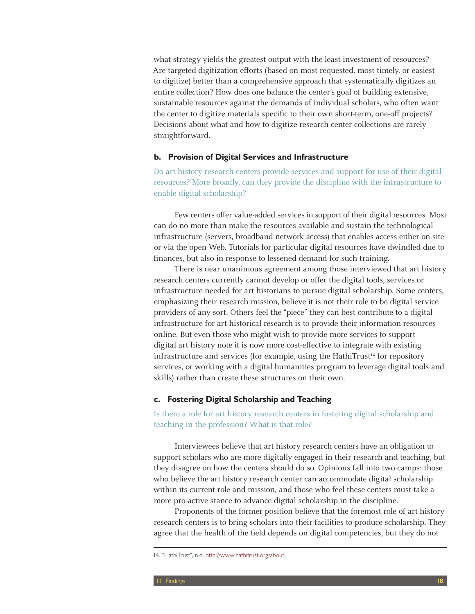what strategy yields the greatest output with the least investment of resources? Are targeted digitization efforts (based on most requested, most timely, or easiest to digitize) better than a comprehensive approach that systematically digitizes an entire collection? How does one balance the center's goal of building extensive, sustainable resources against the demands of individual scholars, who often want the center to digitize materials specific to their own short-term, one-off projects? Decisions about what and how to digitize research center collections are rarely straightforward.

#### **b. Provision of Digital Services and Infrastructure**

Do art history research centers provide services and support for use of their digital resources? More broadly, can they provide the discipline with the infrastructure to enable digital scholarship?

Few centers offer value-added services in support of their digital resources. Most can do no more than make the resources available and sustain the technological infrastructure (servers, broadband network access) that enables access either on-site or via the open Web. Tutorials for particular digital resources have dwindled due to finances, but also in response to lessened demand for such training.

There is near unanimous agreement among those interviewed that art history research centers currently cannot develop or offer the digital tools, services or infrastructure needed for art historians to pursue digital scholarship. Some centers, emphasizing their research mission, believe it is not their role to be digital service providers of any sort. Others feel the "piece" they can best contribute to a digital infrastructure for art historical research is to provide their information resources online. But even those who might wish to provide more services to support digital art history note it is now more cost-effective to integrate with existing infrastructure and services (for example, using the HathiTrust<sup>14</sup> for repository services, or working with a digital humanities program to leverage digital tools and skills) rather than create these structures on their own.

#### **c. Fostering Digital Scholarship and Teaching**

Is there a role for art history research centers in fostering digital scholarship and teaching in the profession? What is that role?

Interviewees believe that art history research centers have an obligation to support scholars who are more digitally engaged in their research and teaching, but they disagree on how the centers should do so. Opinions fall into two camps: those who believe the art history research center can accommodate digital scholarship within its current role and mission, and those who feel these centers must take a more pro-active stance to advance digital scholarship in the discipline.

Proponents of the former position believe that the foremost role of art history research centers is to bring scholars into their facilities to produce scholarship. They agree that the health of the field depends on digital competencies, but they do not

<sup>14. &</sup>quot;HathiTrust", n.d. http://www.hathitrust.org/about.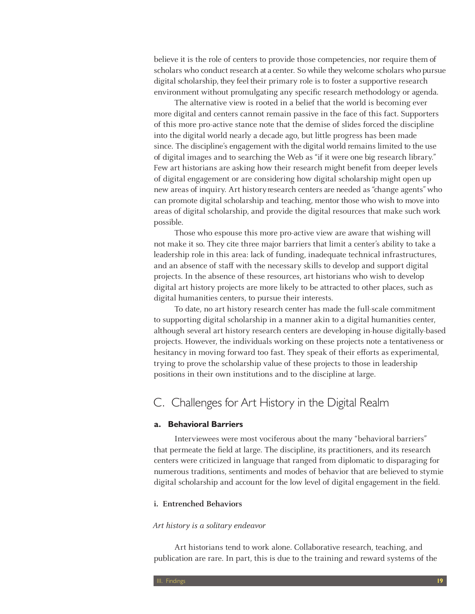believe it is the role of centers to provide those competencies, nor require them of scholars who conduct research at a center. So while they welcome scholars who pursue digital scholarship, they feel their primary role is to foster a supportive research environment without promulgating any specific research methodology or agenda.

The alternative view is rooted in a belief that the world is becoming ever more digital and centers cannot remain passive in the face of this fact. Supporters of this more pro-active stance note that the demise of slides forced the discipline into the digital world nearly a decade ago, but little progress has been made since. The discipline's engagement with the digital world remains limited to the use of digital images and to searching the Web as "if it were one big research library." Few art historians are asking how their research might benefit from deeper levels of digital engagement or are considering how digital scholarship might open up new areas of inquiry. Art history research centers are needed as "change agents" who can promote digital scholarship and teaching, mentor those who wish to move into areas of digital scholarship, and provide the digital resources that make such work possible.

Those who espouse this more pro-active view are aware that wishing will not make it so. They cite three major barriers that limit a center's ability to take a leadership role in this area: lack of funding, inadequate technical infrastructures, and an absence of staff with the necessary skills to develop and support digital projects. In the absence of these resources, art historians who wish to develop digital art history projects are more likely to be attracted to other places, such as digital humanities centers, to pursue their interests.

To date, no art history research center has made the full-scale commitment to supporting digital scholarship in a manner akin to a digital humanities center, although several art history research centers are developing in-house digitally-based projects. However, the individuals working on these projects note a tentativeness or hesitancy in moving forward too fast. They speak of their efforts as experimental, trying to prove the scholarship value of these projects to those in leadership positions in their own institutions and to the discipline at large.

### C. Challenges for Art History in the Digital Realm

#### **a. Behavioral Barriers**

Interviewees were most vociferous about the many "behavioral barriers" that permeate the field at large. The discipline, its practitioners, and its research centers were criticized in language that ranged from diplomatic to disparaging for numerous traditions, sentiments and modes of behavior that are believed to stymie digital scholarship and account for the low level of digital engagement in the field.

#### **i. Entrenched Behaviors**

#### Art history is a solitary endeavor

Art historians tend to work alone. Collaborative research, teaching, and publication are rare. In part, this is due to the training and reward systems of the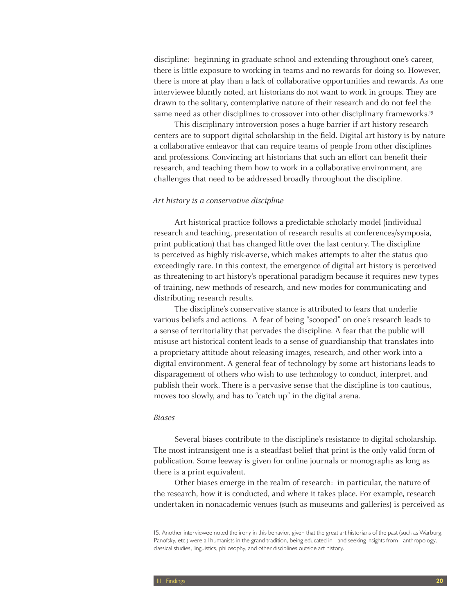discipline: beginning in graduate school and extending throughout one's career, there is little exposure to working in teams and no rewards for doing so. However, there is more at play than a lack of collaborative opportunities and rewards. As one interviewee bluntly noted, art historians do not want to work in groups. They are drawn to the solitary, contemplative nature of their research and do not feel the same need as other disciplines to crossover into other disciplinary frameworks.<sup>15</sup>

This disciplinary introversion poses a huge barrier if art history research centers are to support digital scholarship in the field. Digital art history is by nature a collaborative endeavor that can require teams of people from other disciplines and professions. Convincing art historians that such an effort can benefit their research, and teaching them how to work in a collaborative environment, are challenges that need to be addressed broadly throughout the discipline.

#### Art history is a conservative discipline

Art historical practice follows a predictable scholarly model (individual research and teaching, presentation of research results at conferences/symposia, print publication) that has changed little over the last century. The discipline is perceived as highly risk-averse, which makes attempts to alter the status quo exceedingly rare. In this context, the emergence of digital art history is perceived as threatening to art history's operational paradigm because it requires new types of training, new methods of research, and new modes for communicating and distributing research results.

The discipline's conservative stance is attributed to fears that underlie various beliefs and actions. A fear of being "scooped" on one's research leads to a sense of territoriality that pervades the discipline. A fear that the public will misuse art historical content leads to a sense of guardianship that translates into a proprietary attitude about releasing images, research, and other work into a digital environment. A general fear of technology by some art historians leads to disparagement of others who wish to use technology to conduct, interpret, and publish their work. There is a pervasive sense that the discipline is too cautious, moves too slowly, and has to "catch up" in the digital arena.

#### Biases

Several biases contribute to the discipline's resistance to digital scholarship. The most intransigent one is a steadfast belief that print is the only valid form of publication. Some leeway is given for online journals or monographs as long as there is a print equivalent.

Other biases emerge in the realm of research: in particular, the nature of the research, how it is conducted, and where it takes place. For example, research undertaken in nonacademic venues (such as museums and galleries) is perceived as

<sup>15.</sup> Another interviewee noted the irony in this behavior, given that the great art historians of the past (such as Warburg, Panofsky, etc.) were all humanists in the grand tradition, being educated in - and seeking insights from - anthropology, classical studies, linguistics, philosophy, and other disciplines outside art history.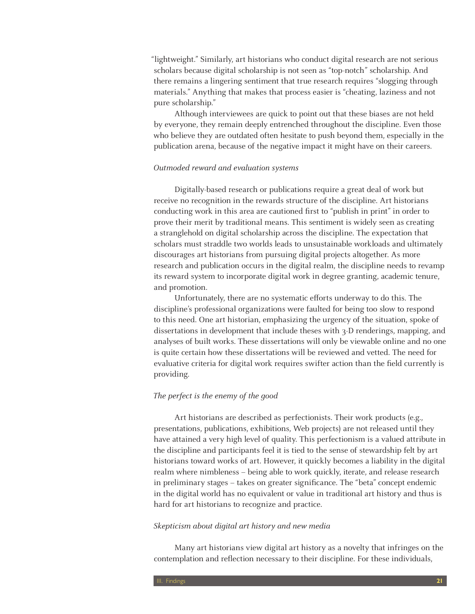"lightweight." Similarly, art historians who conduct digital research are not serious scholars because digital scholarship is not seen as "top-notch" scholarship. And there remains a lingering sentiment that true research requires "slogging through materials." Anything that makes that process easier is "cheating, laziness and not pure scholarship."

Although interviewees are quick to point out that these biases are not held by everyone, they remain deeply entrenched throughout the discipline. Even those who believe they are outdated often hesitate to push beyond them, especially in the publication arena, because of the negative impact it might have on their careers.

#### Outmoded reward and evaluation systems

Digitally-based research or publications require a great deal of work but receive no recognition in the rewards structure of the discipline. Art historians conducting work in this area are cautioned first to "publish in print" in order to prove their merit by traditional means. This sentiment is widely seen as creating a stranglehold on digital scholarship across the discipline. The expectation that scholars must straddle two worlds leads to unsustainable workloads and ultimately discourages art historians from pursuing digital projects altogether. As more research and publication occurs in the digital realm, the discipline needs to revamp its reward system to incorporate digital work in degree granting, academic tenure, and promotion.

Unfortunately, there are no systematic efforts underway to do this. The discipline's professional organizations were faulted for being too slow to respond to this need. One art historian, emphasizing the urgency of the situation, spoke of dissertations in development that include theses with 3-D renderings, mapping, and analyses of built works. These dissertations will only be viewable online and no one is quite certain how these dissertations will be reviewed and vetted. The need for evaluative criteria for digital work requires swifter action than the field currently is providing.

#### The perfect is the enemy of the good

Art historians are described as perfectionists. Their work products (e.g., presentations, publications, exhibitions, Web projects) are not released until they have attained a very high level of quality. This perfectionism is a valued attribute in the discipline and participants feel it is tied to the sense of stewardship felt by art historians toward works of art. However, it quickly becomes a liability in the digital realm where nimbleness – being able to work quickly, iterate, and release research in preliminary stages – takes on greater significance. The "beta" concept endemic in the digital world has no equivalent or value in traditional art history and thus is hard for art historians to recognize and practice.

#### Skepticism about digital art history and new media

Many art historians view digital art history as a novelty that infringes on the contemplation and reflection necessary to their discipline. For these individuals,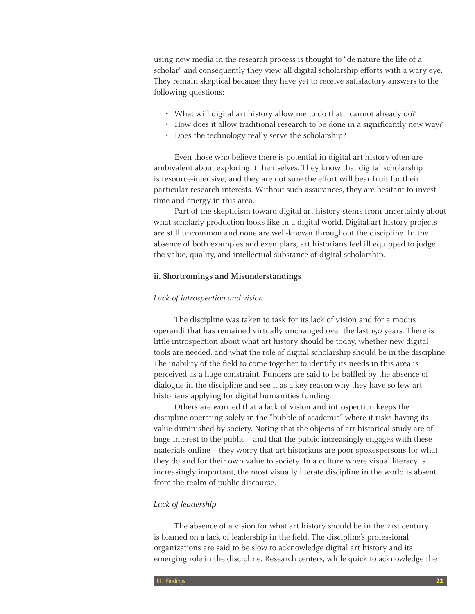using new media in the research process is thought to "de-nature the life of a scholar" and consequently they view all digital scholarship efforts with a wary eye. They remain skeptical because they have yet to receive satisfactory answers to the following questions:

- What will digital art history allow me to do that I cannot already do?
- How does it allow traditional research to be done in a significantly new way?
- Does the technology really serve the scholarship?

Even those who believe there is potential in digital art history often are ambivalent about exploring it themselves. They know that digital scholarship is resource-intensive, and they are not sure the effort will bear fruit for their particular research interests. Without such assurances, they are hesitant to invest time and energy in this area.

Part of the skepticism toward digital art history stems from uncertainty about what scholarly production looks like in a digital world. Digital art history projects are still uncommon and none are well-known throughout the discipline. In the absence of both examples and exemplars, art historians feel ill equipped to judge the value, quality, and intellectual substance of digital scholarship.

#### **ii. Shortcomings and Misunderstandings**

#### Lack of introspection and vision

The discipline was taken to task for its lack of vision and for a modus operandi that has remained virtually unchanged over the last 150 years. There is little introspection about what art history should be today, whether new digital tools are needed, and what the role of digital scholarship should be in the discipline. The inability of the field to come together to identify its needs in this area is perceived as a huge constraint. Funders are said to be baffled by the absence of dialogue in the discipline and see it as a key reason why they have so few art historians applying for digital humanities funding.

Others are worried that a lack of vision and introspection keeps the discipline operating solely in the "bubble of academia" where it risks having its value diminished by society. Noting that the objects of art historical study are of huge interest to the public – and that the public increasingly engages with these materials online – they worry that art historians are poor spokespersons for what they do and for their own value to society. In a culture where visual literacy is increasingly important, the most visually literate discipline in the world is absent from the realm of public discourse.

#### Lack of leadership

The absence of a vision for what art history should be in the 21st century is blamed on a lack of leadership in the field. The discipline's professional organizations are said to be slow to acknowledge digital art history and its emerging role in the discipline. Research centers, while quick to acknowledge the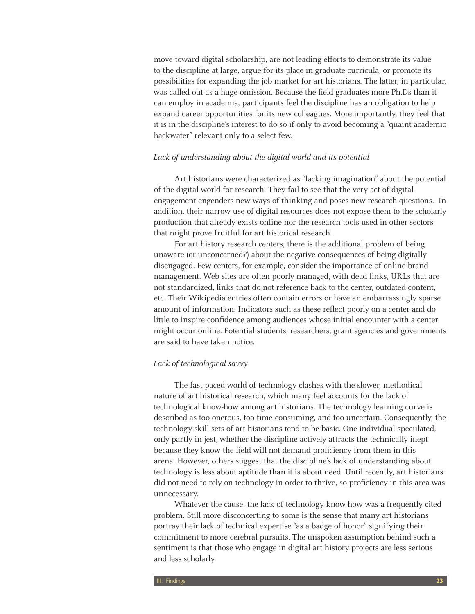move toward digital scholarship, are not leading efforts to demonstrate its value to the discipline at large, argue for its place in graduate curricula, or promote its possibilities for expanding the job market for art historians. The latter, in particular, was called out as a huge omission. Because the field graduates more Ph.Ds than it can employ in academia, participants feel the discipline has an obligation to help expand career opportunities for its new colleagues. More importantly, they feel that it is in the discipline's interest to do so if only to avoid becoming a "quaint academic backwater" relevant only to a select few.

#### Lack of understanding about the digital world and its potential

Art historians were characterized as "lacking imagination" about the potential of the digital world for research. They fail to see that the very act of digital engagement engenders new ways of thinking and poses new research questions. In addition, their narrow use of digital resources does not expose them to the scholarly production that already exists online nor the research tools used in other sectors that might prove fruitful for art historical research.

For art history research centers, there is the additional problem of being unaware (or unconcerned?) about the negative consequences of being digitally disengaged. Few centers, for example, consider the importance of online brand management. Web sites are often poorly managed, with dead links, URLs that are not standardized, links that do not reference back to the center, outdated content, etc. Their Wikipedia entries often contain errors or have an embarrassingly sparse amount of information. Indicators such as these reflect poorly on a center and do little to inspire confidence among audiences whose initial encounter with a center might occur online. Potential students, researchers, grant agencies and governments are said to have taken notice.

#### Lack of technological savvy

The fast paced world of technology clashes with the slower, methodical nature of art historical research, which many feel accounts for the lack of technological know-how among art historians. The technology learning curve is described as too onerous, too time-consuming, and too uncertain. Consequently, the technology skill sets of art historians tend to be basic. One individual speculated, only partly in jest, whether the discipline actively attracts the technically inept because they know the field will not demand proficiency from them in this arena. However, others suggest that the discipline's lack of understanding about technology is less about aptitude than it is about need. Until recently, art historians did not need to rely on technology in order to thrive, so proficiency in this area was unnecessary.

Whatever the cause, the lack of technology know-how was a frequently cited problem. Still more disconcerting to some is the sense that many art historians portray their lack of technical expertise "as a badge of honor" signifying their commitment to more cerebral pursuits. The unspoken assumption behind such a sentiment is that those who engage in digital art history projects are less serious and less scholarly.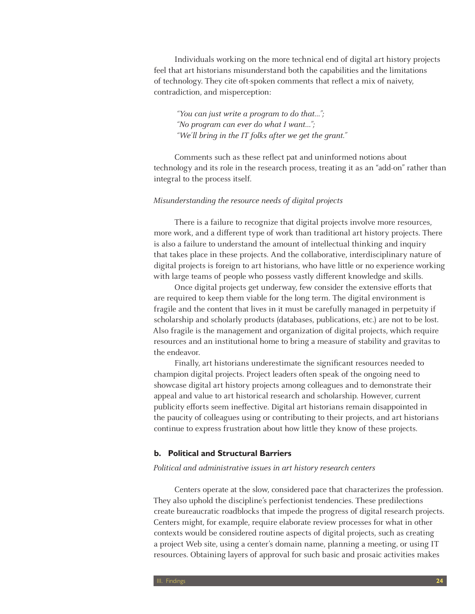Individuals working on the more technical end of digital art history projects feel that art historians misunderstand both the capabilities and the limitations of technology. They cite oft-spoken comments that reflect a mix of naivety, contradiction, and misperception:

 "You can just write a program to do that…"; "No program can ever do what I want…"; "We'll bring in the IT folks after we get the grant."

Comments such as these reflect pat and uninformed notions about technology and its role in the research process, treating it as an "add-on" rather than integral to the process itself.

#### Misunderstanding the resource needs of digital projects

There is a failure to recognize that digital projects involve more resources, more work, and a different type of work than traditional art history projects. There is also a failure to understand the amount of intellectual thinking and inquiry that takes place in these projects. And the collaborative, interdisciplinary nature of digital projects is foreign to art historians, who have little or no experience working with large teams of people who possess vastly different knowledge and skills.

Once digital projects get underway, few consider the extensive efforts that are required to keep them viable for the long term. The digital environment is fragile and the content that lives in it must be carefully managed in perpetuity if scholarship and scholarly products (databases, publications, etc.) are not to be lost. Also fragile is the management and organization of digital projects, which require resources and an institutional home to bring a measure of stability and gravitas to the endeavor.

Finally, art historians underestimate the significant resources needed to champion digital projects. Project leaders often speak of the ongoing need to showcase digital art history projects among colleagues and to demonstrate their appeal and value to art historical research and scholarship. However, current publicity efforts seem ineffective. Digital art historians remain disappointed in the paucity of colleagues using or contributing to their projects, and art historians continue to express frustration about how little they know of these projects.

#### **b. Political and Structural Barriers**

#### Political and administrative issues in art history research centers

Centers operate at the slow, considered pace that characterizes the profession. They also uphold the discipline's perfectionist tendencies. These predilections create bureaucratic roadblocks that impede the progress of digital research projects. Centers might, for example, require elaborate review processes for what in other contexts would be considered routine aspects of digital projects, such as creating a project Web site, using a center's domain name, planning a meeting, or using IT resources. Obtaining layers of approval for such basic and prosaic activities makes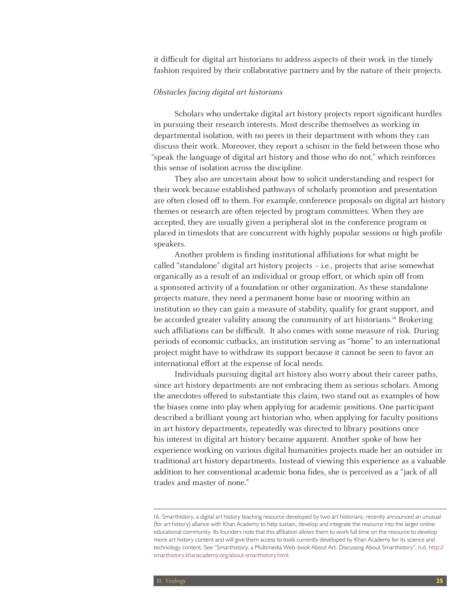it difficult for digital art historians to address aspects of their work in the timely fashion required by their collaborative partners and by the nature of their projects.

#### Obstacles facing digital art historians

Scholars who undertake digital art history projects report significant hurdles in pursuing their research interests. Most describe themselves as working in departmental isolation, with no peers in their department with whom they can discuss their work. Moreover, they report a schism in the field between those who "speak the language of digital art history and those who do not," which reinforces this sense of isolation across the discipline.

They also are uncertain about how to solicit understanding and respect for their work because established pathways of scholarly promotion and presentation are often closed off to them. For example, conference proposals on digital art history themes or research are often rejected by program committees. When they are accepted, they are usually given a peripheral slot in the conference program or placed in timeslots that are concurrent with highly popular sessions or high profile speakers.

Another problem is finding institutional affiliations for what might be called "standalone" digital art history projects – i.e., projects that arise somewhat organically as a result of an individual or group effort, or which spin off from a sponsored activity of a foundation or other organization. As these standalone projects mature, they need a permanent home base or mooring within an institution so they can gain a measure of stability, qualify for grant support, and be accorded greater validity among the community of art historians.<sup>16</sup> Brokering such affiliations can be difficult. It also comes with some measure of risk. During periods of economic cutbacks, an institution serving as "home" to an international project might have to withdraw its support because it cannot be seen to favor an international effort at the expense of local needs.

Individuals pursuing digital art history also worry about their career paths, since art history departments are not embracing them as serious scholars. Among the anecdotes offered to substantiate this claim, two stand out as examples of how the biases come into play when applying for academic positions. One participant described a brilliant young art historian who, when applying for faculty positions in art history departments, repeatedly was directed to library positions once his interest in digital art history became apparent. Another spoke of how her experience working on various digital humanities projects made her an outsider in traditional art history departments. Instead of viewing this experience as a valuable addition to her conventional academic bona fides, she is perceived as a "jack of all trades and master of none."

<sup>16.</sup> Smarthistory, a digital art history teaching resource developed by two art historians, recently announced an unusual (for art history) alliance with Khan Academy to help sustain, develop and integrate the resource into the larger online educational community. Its founders note that this affiliation allows them to work full time on the resource to develop more art history content and will give them access to tools currently developed by Khan Academy for its science and technology content. See "Smarthistory, a Multimedia Web-book About Art: Discussing About Smarthistory", n.d. http:// smarthistory.khanacademy.org/about-smarthistory.html.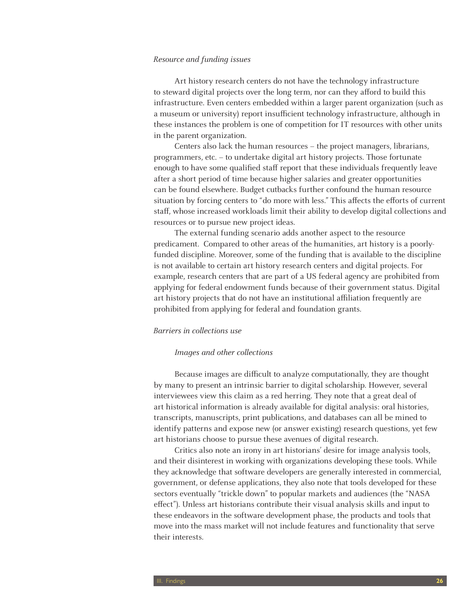#### Resource and funding issues

Art history research centers do not have the technology infrastructure to steward digital projects over the long term, nor can they afford to build this infrastructure. Even centers embedded within a larger parent organization (such as a museum or university) report insufficient technology infrastructure, although in these instances the problem is one of competition for IT resources with other units in the parent organization.

Centers also lack the human resources – the project managers, librarians, programmers, etc. – to undertake digital art history projects. Those fortunate enough to have some qualified staff report that these individuals frequently leave after a short period of time because higher salaries and greater opportunities can be found elsewhere. Budget cutbacks further confound the human resource situation by forcing centers to "do more with less." This affects the efforts of current staff, whose increased workloads limit their ability to develop digital collections and resources or to pursue new project ideas.

The external funding scenario adds another aspect to the resource predicament. Compared to other areas of the humanities, art history is a poorlyfunded discipline. Moreover, some of the funding that is available to the discipline is not available to certain art history research centers and digital projects. For example, research centers that are part of a US federal agency are prohibited from applying for federal endowment funds because of their government status. Digital art history projects that do not have an institutional affiliation frequently are prohibited from applying for federal and foundation grants.

#### Barriers in collections use

#### Images and other collections

Because images are difficult to analyze computationally, they are thought by many to present an intrinsic barrier to digital scholarship. However, several interviewees view this claim as a red herring. They note that a great deal of art historical information is already available for digital analysis: oral histories, transcripts, manuscripts, print publications, and databases can all be mined to identify patterns and expose new (or answer existing) research questions, yet few art historians choose to pursue these avenues of digital research.

Critics also note an irony in art historians' desire for image analysis tools, and their disinterest in working with organizations developing these tools. While they acknowledge that software developers are generally interested in commercial, government, or defense applications, they also note that tools developed for these sectors eventually "trickle down" to popular markets and audiences (the "NASA effect"). Unless art historians contribute their visual analysis skills and input to these endeavors in the software development phase, the products and tools that move into the mass market will not include features and functionality that serve their interests.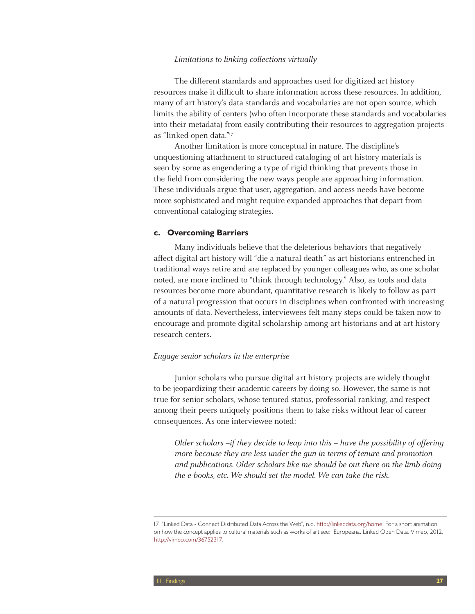#### Limitations to linking collections virtually

The different standards and approaches used for digitized art history resources make it difficult to share information across these resources. In addition, many of art history's data standards and vocabularies are not open source, which limits the ability of centers (who often incorporate these standards and vocabularies into their metadata) from easily contributing their resources to aggregation projects as "linked open data."17

Another limitation is more conceptual in nature. The discipline's unquestioning attachment to structured cataloging of art history materials is seen by some as engendering a type of rigid thinking that prevents those in the field from considering the new ways people are approaching information. These individuals argue that user, aggregation, and access needs have become more sophisticated and might require expanded approaches that depart from conventional cataloging strategies.

#### **c. Overcoming Barriers**

Many individuals believe that the deleterious behaviors that negatively affect digital art history will "die a natural death" as art historians entrenched in traditional ways retire and are replaced by younger colleagues who, as one scholar noted, are more inclined to "think through technology." Also, as tools and data resources become more abundant, quantitative research is likely to follow as part of a natural progression that occurs in disciplines when confronted with increasing amounts of data. Nevertheless, interviewees felt many steps could be taken now to encourage and promote digital scholarship among art historians and at art history research centers.

#### Engage senior scholars in the enterprise

Junior scholars who pursue digital art history projects are widely thought to be jeopardizing their academic careers by doing so. However, the same is not true for senior scholars, whose tenured status, professorial ranking, and respect among their peers uniquely positions them to take risks without fear of career consequences. As one interviewee noted:

Older scholars –if they decide to leap into this – have the possibility of offering more because they are less under the gun in terms of tenure and promotion and publications. Older scholars like me should be out there on the limb doing the e-books, etc. We should set the model. We can take the risk.

<sup>17. &</sup>quot;Linked Data - Connect Distributed Data Across the Web", n.d. http://linkeddata.org/home. For a short animation on how the concept applies to cultural materials such as works of art see: Europeana. Linked Open Data. Vimeo, 2012. http://vimeo.com/36752317.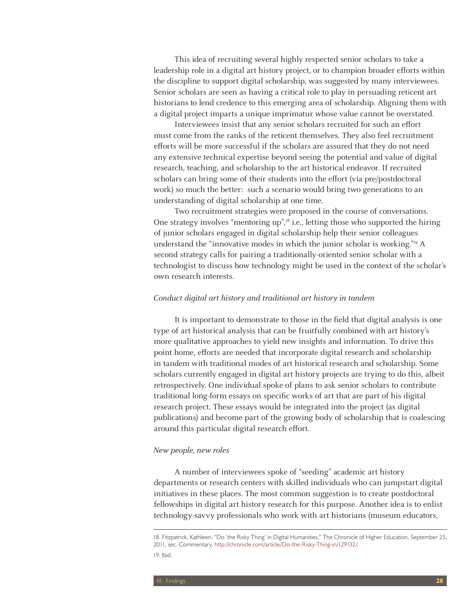This idea of recruiting several highly respected senior scholars to take a leadership role in a digital art history project, or to champion broader efforts within the discipline to support digital scholarship, was suggested by many interviewees. Senior scholars are seen as having a critical role to play in persuading reticent art historians to lend credence to this emerging area of scholarship. Aligning them with a digital project imparts a unique imprimatur whose value cannot be overstated.

Interviewees insist that any senior scholars recruited for such an effort must come from the ranks of the reticent themselves. They also feel recruitment efforts will be more successful if the scholars are assured that they do not need any extensive technical expertise beyond seeing the potential and value of digital research, teaching, and scholarship to the art historical endeavor. If recruited scholars can bring some of their students into the effort (via pre/postdoctoral work) so much the better: such a scenario would bring two generations to an understanding of digital scholarship at one time.

Two recruitment strategies were proposed in the course of conversations. One strategy involves "mentoring  $up''$ ,<sup>18</sup> i.e., letting those who supported the hiring of junior scholars engaged in digital scholarship help their senior colleagues understand the "innovative modes in which the junior scholar is working."19 A second strategy calls for pairing a traditionally-oriented senior scholar with a technologist to discuss how technology might be used in the context of the scholar's own research interests.

#### Conduct digital art history and traditional art history in tandem

It is important to demonstrate to those in the field that digital analysis is one type of art historical analysis that can be fruitfully combined with art history's more qualitative approaches to yield new insights and information. To drive this point home, efforts are needed that incorporate digital research and scholarship in tandem with traditional modes of art historical research and scholarship. Some scholars currently engaged in digital art history projects are trying to do this, albeit retrospectively. One individual spoke of plans to ask senior scholars to contribute traditional long-form essays on specific works of art that are part of his digital research project. These essays would be integrated into the project (as digital publications) and become part of the growing body of scholarship that is coalescing around this particular digital research effort.

#### New people, new roles

A number of interviewees spoke of "seeding" academic art history departments or research centers with skilled individuals who can jumpstart digital initiatives in these places. The most common suggestion is to create postdoctoral fellowships in digital art history research for this purpose. Another idea is to enlist technology-savvy professionals who work with art historians (museum educators,

<sup>18.</sup> Fitzpatrick, Kathleen. "Do 'the Risky Thing' in Digital Humanities." The Chronicle of Higher Education, September 25, 2011, sec. Commentary. http://chronicle.com/article/Do-the-Risky-Thing-in/129132/. 19. Ibid.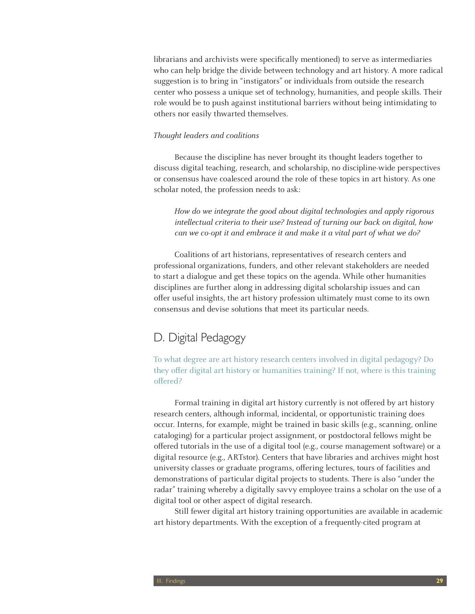librarians and archivists were specifically mentioned) to serve as intermediaries who can help bridge the divide between technology and art history. A more radical suggestion is to bring in "instigators" or individuals from outside the research center who possess a unique set of technology, humanities, and people skills. Their role would be to push against institutional barriers without being intimidating to others nor easily thwarted themselves.

#### Thought leaders and coalitions

Because the discipline has never brought its thought leaders together to discuss digital teaching, research, and scholarship, no discipline-wide perspectives or consensus have coalesced around the role of these topics in art history. As one scholar noted, the profession needs to ask:

How do we integrate the good about digital technologies and apply rigorous intellectual criteria to their use? Instead of turning our back on digital, how can we co-opt it and embrace it and make it a vital part of what we do?

Coalitions of art historians, representatives of research centers and professional organizations, funders, and other relevant stakeholders are needed to start a dialogue and get these topics on the agenda. While other humanities disciplines are further along in addressing digital scholarship issues and can offer useful insights, the art history profession ultimately must come to its own consensus and devise solutions that meet its particular needs.

# D. Digital Pedagogy

To what degree are art history research centers involved in digital pedagogy? Do they offer digital art history or humanities training? If not, where is this training offered?

Formal training in digital art history currently is not offered by art history research centers, although informal, incidental, or opportunistic training does occur. Interns, for example, might be trained in basic skills (e.g., scanning, online cataloging) for a particular project assignment, or postdoctoral fellows might be offered tutorials in the use of a digital tool (e.g., course management software) or a digital resource (e.g., ARTstor). Centers that have libraries and archives might host university classes or graduate programs, offering lectures, tours of facilities and demonstrations of particular digital projects to students. There is also "under the radar" training whereby a digitally savvy employee trains a scholar on the use of a digital tool or other aspect of digital research.

Still fewer digital art history training opportunities are available in academic art history departments. With the exception of a frequently-cited program at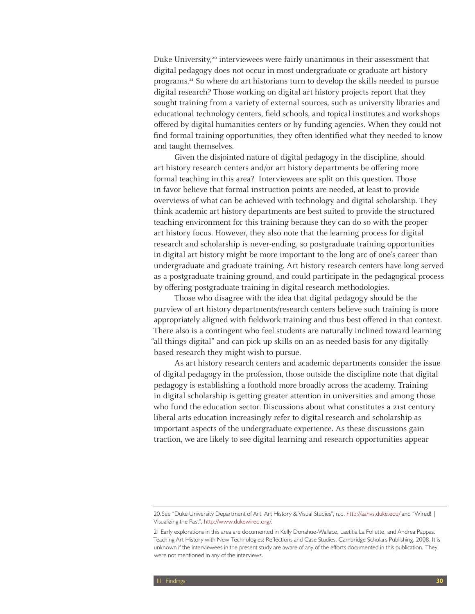Duke University, $20$  interviewees were fairly unanimous in their assessment that digital pedagogy does not occur in most undergraduate or graduate art history programs.21 So where do art historians turn to develop the skills needed to pursue digital research? Those working on digital art history projects report that they sought training from a variety of external sources, such as university libraries and educational technology centers, field schools, and topical institutes and workshops offered by digital humanities centers or by funding agencies. When they could not find formal training opportunities, they often identified what they needed to know and taught themselves.

Given the disjointed nature of digital pedagogy in the discipline, should art history research centers and/or art history departments be offering more formal teaching in this area? Interviewees are split on this question. Those in favor believe that formal instruction points are needed, at least to provide overviews of what can be achieved with technology and digital scholarship. They think academic art history departments are best suited to provide the structured teaching environment for this training because they can do so with the proper art history focus. However, they also note that the learning process for digital research and scholarship is never-ending, so postgraduate training opportunities in digital art history might be more important to the long arc of one's career than undergraduate and graduate training. Art history research centers have long served as a postgraduate training ground, and could participate in the pedagogical process by offering postgraduate training in digital research methodologies.

Those who disagree with the idea that digital pedagogy should be the purview of art history departments/research centers believe such training is more appropriately aligned with fieldwork training and thus best offered in that context. There also is a contingent who feel students are naturally inclined toward learning "all things digital" and can pick up skills on an as-needed basis for any digitallybased research they might wish to pursue.

As art history research centers and academic departments consider the issue of digital pedagogy in the profession, those outside the discipline note that digital pedagogy is establishing a foothold more broadly across the academy. Training in digital scholarship is getting greater attention in universities and among those who fund the education sector. Discussions about what constitutes a 21st century liberal arts education increasingly refer to digital research and scholarship as important aspects of the undergraduate experience. As these discussions gain traction, we are likely to see digital learning and research opportunities appear

<sup>20.</sup>See "Duke University Department of Art, Art History & Visual Studies", n.d. http://aahvs.duke.edu/ and "Wired! | Visualizing the Past", http://www.dukewired.org/.

<sup>21.</sup>Early explorations in this area are documented in Kelly Donahue-Wallace, Laetitia La Follette, and Andrea Pappas. Teaching Art History with New Technologies: Reflections and Case Studies. Cambridge Scholars Publishing, 2008. It is unknown if the interviewees in the present study are aware of any of the efforts documented in this publication. They were not mentioned in any of the interviews.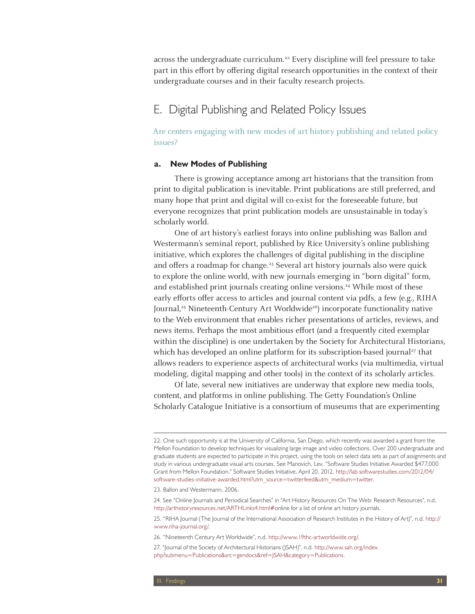across the undergraduate curriculum.<sup>22</sup> Every discipline will feel pressure to take part in this effort by offering digital research opportunities in the context of their undergraduate courses and in their faculty research projects.

# E. Digital Publishing and Related Policy Issues

Are centers engaging with new modes of art history publishing and related policy issues?

#### **a. New Modes of Publishing**

There is growing acceptance among art historians that the transition from print to digital publication is inevitable. Print publications are still preferred, and many hope that print and digital will co-exist for the foreseeable future, but everyone recognizes that print publication models are unsustainable in today's scholarly world.

One of art history's earliest forays into online publishing was Ballon and Westermann's seminal report, published by Rice University's online publishing initiative, which explores the challenges of digital publishing in the discipline and offers a roadmap for change.<sup>23</sup> Several art history journals also were quick to explore the online world, with new journals emerging in "born digital" form, and established print journals creating online versions.<sup>24</sup> While most of these early efforts offer access to articles and journal content via pdfs, a few (e.g., RIHA Journal,<sup>25</sup> Nineteenth-Century Art Worldwide<sup>26</sup>) incorporate functionality native to the Web environment that enables richer presentations of articles, reviews, and news items. Perhaps the most ambitious effort (and a frequently cited exemplar within the discipline) is one undertaken by the Society for Architectural Historians, which has developed an online platform for its subscription-based journal<sup>27</sup> that allows readers to experience aspects of architectural works (via multimedia, virtual modeling, digital mapping and other tools) in the context of its scholarly articles.

Of late, several new initiatives are underway that explore new media tools, content, and platforms in online publishing. The Getty Foundation's Online Scholarly Catalogue Initiative is a consortium of museums that are experimenting

<sup>22.</sup> One such opportunity is at the University of California, San Diego, which recently was awarded a grant from the Mellon Foundation to develop techniques for visualizing large image and video collections. Over 200 undergraduate and graduate students are expected to participate in this project, using the tools on select data sets as part of assignments and study in various undergraduate visual arts courses. See Manovich, Lev. "Software Studies Initiative Awarded \$477,000 Grant from Mellon Foundation." Software Studies Initiative, April 20, 2012. http://lab.softwarestudies.com/2012/04/ software-studies-initiative-awarded.html?utm\_source=twitterfeed&utm\_medium=twitter.

<sup>23.</sup> Ballon and Westermann, 2006.

<sup>24.</sup> See "Online Journals and Periodical Searches" in "Art History Resources On The Web: Research Resources", n.d. http://arthistoryresources.net/ARTHLinks4.html#online for a list of online art history journals.

<sup>25. &</sup>quot;RIHA Journal (The Journal of the International Association of Research Institutes in the History of Art)", n.d. http:// www.riha-journal.org/.

<sup>26. &</sup>quot;Nineteenth Century Art Worldwide", n.d. http://www.19thc-artworldwide.org/.

<sup>27. &</sup>quot;Journal of the Society of Architectural Historians (JSAH)", n.d. http://www.sah.org/index. php?submenu=Publications&src=gendocs&ref=JSAH&category=Publications.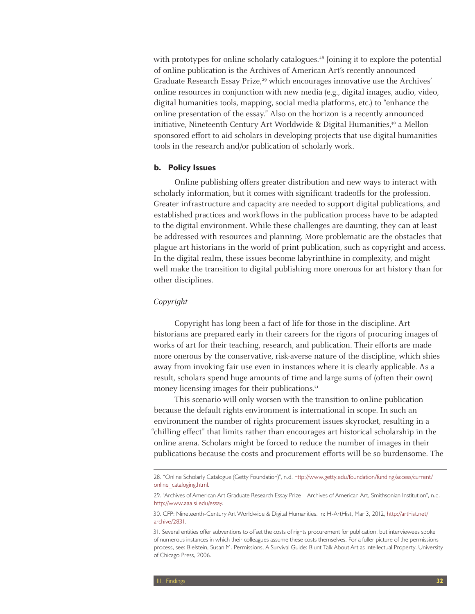with prototypes for online scholarly catalogues.<sup>28</sup> Joining it to explore the potential of online publication is the Archives of American Art's recently announced Graduate Research Essay Prize,<sup>29</sup> which encourages innovative use the Archives' online resources in conjunction with new media (e.g., digital images, audio, video, digital humanities tools, mapping, social media platforms, etc.) to "enhance the online presentation of the essay." Also on the horizon is a recently announced initiative, Nineteenth-Century Art Worldwide & Digital Humanities, $3^{\circ}$  a Mellonsponsored effort to aid scholars in developing projects that use digital humanities tools in the research and/or publication of scholarly work.

#### **b. Policy Issues**

Online publishing offers greater distribution and new ways to interact with scholarly information, but it comes with significant tradeoffs for the profession. Greater infrastructure and capacity are needed to support digital publications, and established practices and workflows in the publication process have to be adapted to the digital environment. While these challenges are daunting, they can at least be addressed with resources and planning. More problematic are the obstacles that plague art historians in the world of print publication, such as copyright and access. In the digital realm, these issues become labyrinthine in complexity, and might well make the transition to digital publishing more onerous for art history than for other disciplines.

#### Copyright

Copyright has long been a fact of life for those in the discipline. Art historians are prepared early in their careers for the rigors of procuring images of works of art for their teaching, research, and publication. Their efforts are made more onerous by the conservative, risk-averse nature of the discipline, which shies away from invoking fair use even in instances where it is clearly applicable. As a result, scholars spend huge amounts of time and large sums of (often their own) money licensing images for their publications.<sup>31</sup>

This scenario will only worsen with the transition to online publication because the default rights environment is international in scope. In such an environment the number of rights procurement issues skyrocket, resulting in a "chilling effect" that limits rather than encourages art historical scholarship in the online arena. Scholars might be forced to reduce the number of images in their publications because the costs and procurement efforts will be so burdensome. The

<sup>28. &</sup>quot;Online Scholarly Catalogue (Getty Foundation)", n.d. http://www.getty.edu/foundation/funding/access/current/ online\_cataloging.html.

<sup>29. &</sup>quot;Archives of American Art Graduate Research Essay Prize | Archives of American Art, Smithsonian Institution", n.d. http://www.aaa.si.edu/essay.

<sup>30.</sup> CFP: Nineteenth-Century Art Worldwide & Digital Humanities. In: H-ArtHist, Mar 3, 2012, http://arthist.net/ archive/2831.

<sup>31.</sup> Several entities offer subventions to offset the costs of rights procurement for publication, but interviewees spoke of numerous instances in which their colleagues assume these costs themselves. For a fuller picture of the permissions process, see: Bielstein, Susan M. Permissions, A Survival Guide: Blunt Talk About Art as Intellectual Property. University of Chicago Press, 2006.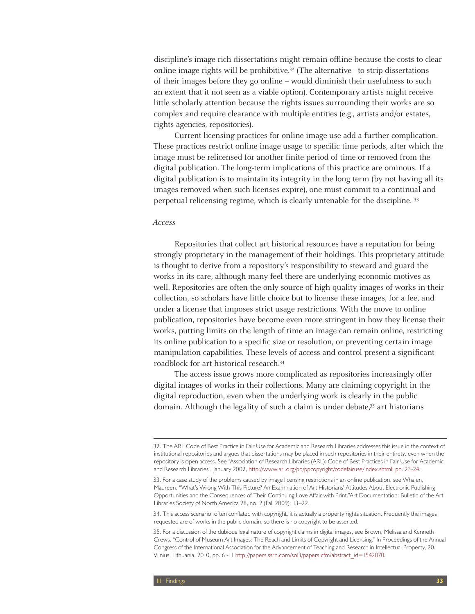discipline's image-rich dissertations might remain offline because the costs to clear online image rights will be prohibitive.<sup>32</sup> (The alternative - to strip dissertations of their images before they go online – would diminish their usefulness to such an extent that it not seen as a viable option). Contemporary artists might receive little scholarly attention because the rights issues surrounding their works are so complex and require clearance with multiple entities (e.g., artists and/or estates, rights agencies, repositories).

Current licensing practices for online image use add a further complication. These practices restrict online image usage to specific time periods, after which the image must be relicensed for another finite period of time or removed from the digital publication. The long-term implications of this practice are ominous. If a digital publication is to maintain its integrity in the long term (by not having all its images removed when such licenses expire), one must commit to a continual and perpetual relicensing regime, which is clearly untenable for the discipline. 33

#### Access

Repositories that collect art historical resources have a reputation for being strongly proprietary in the management of their holdings. This proprietary attitude is thought to derive from a repository's responsibility to steward and guard the works in its care, although many feel there are underlying economic motives as well. Repositories are often the only source of high quality images of works in their collection, so scholars have little choice but to license these images, for a fee, and under a license that imposes strict usage restrictions. With the move to online publication, repositories have become even more stringent in how they license their works, putting limits on the length of time an image can remain online, restricting its online publication to a specific size or resolution, or preventing certain image manipulation capabilities. These levels of access and control present a significant roadblock for art historical research.34

The access issue grows more complicated as repositories increasingly offer digital images of works in their collections. Many are claiming copyright in the digital reproduction, even when the underlying work is clearly in the public domain. Although the legality of such a claim is under debate,<sup>35</sup> art historians

<sup>32.</sup> The ARL Code of Best Practice in Fair Use for Academic and Research Libraries addresses this issue in the context of institutional repositories and argues that dissertations may be placed in such repositories in their entirety, even when the repository is open access. See "Association of Research Libraries (ARL): Code of Best Practices in Fair Use for Academic and Research Libraries", January 2002, http://www.arl.org/pp/ppcopyright/codefairuse/index.shtml, pp. 23-24.

<sup>33.</sup> For a case study of the problems caused by image licensing restrictions in an online publication, see Whalen, Maureen. "What's Wrong With This Picture? An Examination of Art Historians' Attitudes About Electronic Publishing Opportunities and the Consequences of Their Continuing Love Affair with Print."Art Documentation: Bulletin of the Art Libraries Society of North America 28, no. 2 (Fall 2009): 13–22.

<sup>34.</sup> This access scenario, often conflated with copyright, it is actually a property rights situation. Frequently the images requested are of works in the public domain, so there is no copyright to be asserted.

<sup>35.</sup> For a discussion of the dubious legal nature of copyright claims in digital images, see Brown, Melissa and Kenneth Crews. "Control of Museum Art Images: The Reach and Limits of Copyright and Licensing." In Proceedings of the Annual Congress of the International Association for the Advancement of Teaching and Research in Intellectual Property, 20. Vilnius, Lithuania, 2010, pp. 6 -11 http://papers.ssrn.com/sol3/papers.cfm?abstract\_id=1542070.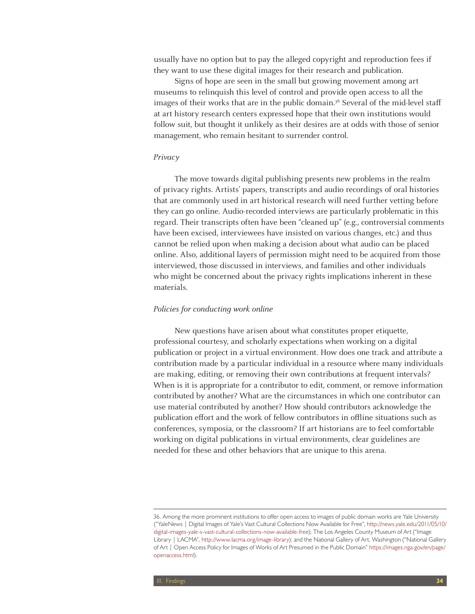usually have no option but to pay the alleged copyright and reproduction fees if they want to use these digital images for their research and publication.

Signs of hope are seen in the small but growing movement among art museums to relinquish this level of control and provide open access to all the images of their works that are in the public domain.<sup>36</sup> Several of the mid-level staff at art history research centers expressed hope that their own institutions would follow suit, but thought it unlikely as their desires are at odds with those of senior management, who remain hesitant to surrender control.

#### Privacy

The move towards digital publishing presents new problems in the realm of privacy rights. Artists' papers, transcripts and audio recordings of oral histories that are commonly used in art historical research will need further vetting before they can go online. Audio-recorded interviews are particularly problematic in this regard. Their transcripts often have been "cleaned up" (e.g., controversial comments have been excised, interviewees have insisted on various changes, etc.) and thus cannot be relied upon when making a decision about what audio can be placed online. Also, additional layers of permission might need to be acquired from those interviewed, those discussed in interviews, and families and other individuals who might be concerned about the privacy rights implications inherent in these materials.

#### Policies for conducting work online

New questions have arisen about what constitutes proper etiquette, professional courtesy, and scholarly expectations when working on a digital publication or project in a virtual environment. How does one track and attribute a contribution made by a particular individual in a resource where many individuals are making, editing, or removing their own contributions at frequent intervals? When is it is appropriate for a contributor to edit, comment, or remove information contributed by another? What are the circumstances in which one contributor can use material contributed by another? How should contributors acknowledge the publication effort and the work of fellow contributors in offline situations such as conferences, symposia, or the classroom? If art historians are to feel comfortable working on digital publications in virtual environments, clear guidelines are needed for these and other behaviors that are unique to this arena.

<sup>36.</sup> Among the more prominent institutions to offer open access to images of public domain works are Yale University ("YaleNews | Digital Images of Yale's Vast Cultural Collections Now Available for Free", http://news.yale.edu/2011/05/10/ digital-images-yale-s-vast-cultural-collections-now-available-free); The Los Angeles County Museum of Art ("Image Library | LACMA", http://www.lacma.org/image-library); and the National Gallery of Art, Washington ("National Gallery of Art | Open Access Policy for Images of Works of Art Presumed in the Public Domain" https://images.nga.gov/en/page/ openaccess.html).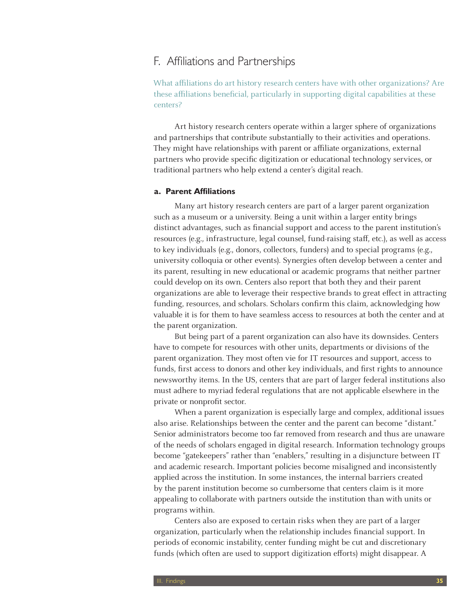### F. Affiliations and Partnerships

What affiliations do art history research centers have with other organizations? Are these affiliations beneficial, particularly in supporting digital capabilities at these centers?

Art history research centers operate within a larger sphere of organizations and partnerships that contribute substantially to their activities and operations. They might have relationships with parent or affiliate organizations, external partners who provide specific digitization or educational technology services, or traditional partners who help extend a center's digital reach.

#### **a. Parent Affiliations**

Many art history research centers are part of a larger parent organization such as a museum or a university. Being a unit within a larger entity brings distinct advantages, such as financial support and access to the parent institution's resources (e.g., infrastructure, legal counsel, fund-raising staff, etc.), as well as access to key individuals (e.g., donors, collectors, funders) and to special programs (e.g., university colloquia or other events). Synergies often develop between a center and its parent, resulting in new educational or academic programs that neither partner could develop on its own. Centers also report that both they and their parent organizations are able to leverage their respective brands to great effect in attracting funding, resources, and scholars. Scholars confirm this claim, acknowledging how valuable it is for them to have seamless access to resources at both the center and at the parent organization.

But being part of a parent organization can also have its downsides. Centers have to compete for resources with other units, departments or divisions of the parent organization. They most often vie for IT resources and support, access to funds, first access to donors and other key individuals, and first rights to announce newsworthy items. In the US, centers that are part of larger federal institutions also must adhere to myriad federal regulations that are not applicable elsewhere in the private or nonprofit sector.

When a parent organization is especially large and complex, additional issues also arise. Relationships between the center and the parent can become "distant." Senior administrators become too far removed from research and thus are unaware of the needs of scholars engaged in digital research. Information technology groups become "gatekeepers" rather than "enablers," resulting in a disjuncture between IT and academic research. Important policies become misaligned and inconsistently applied across the institution. In some instances, the internal barriers created by the parent institution become so cumbersome that centers claim is it more appealing to collaborate with partners outside the institution than with units or programs within.

Centers also are exposed to certain risks when they are part of a larger organization, particularly when the relationship includes financial support. In periods of economic instability, center funding might be cut and discretionary funds (which often are used to support digitization efforts) might disappear. A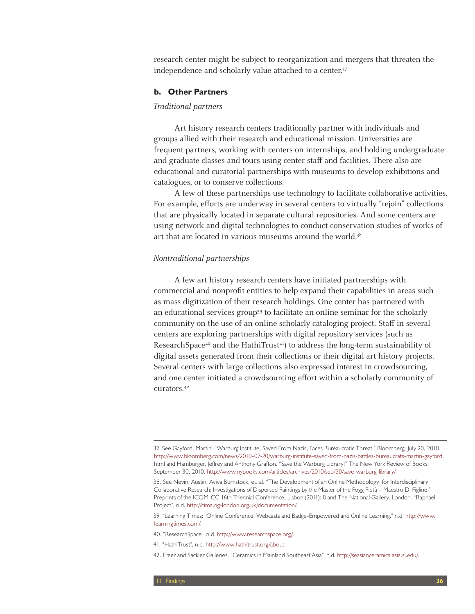research center might be subject to reorganization and mergers that threaten the independence and scholarly value attached to a center.<sup>37</sup>

#### **b. Other Partners**

#### Traditional partners

Art history research centers traditionally partner with individuals and groups allied with their research and educational mission. Universities are frequent partners, working with centers on internships, and holding undergraduate and graduate classes and tours using center staff and facilities. There also are educational and curatorial partnerships with museums to develop exhibitions and catalogues, or to conserve collections.

A few of these partnerships use technology to facilitate collaborative activities. For example, efforts are underway in several centers to virtually "rejoin" collections that are physically located in separate cultural repositories. And some centers are using network and digital technologies to conduct conservation studies of works of art that are located in various museums around the world.<sup>38</sup>

#### Nontraditional partnerships

A few art history research centers have initiated partnerships with commercial and nonprofit entities to help expand their capabilities in areas such as mass digitization of their research holdings. One center has partnered with an educational services group<sup>39</sup> to facilitate an online seminar for the scholarly community on the use of an online scholarly cataloging project. Staff in several centers are exploring partnerships with digital repository services (such as ResearchSpace<sup>40</sup> and the HathiTrust<sup>41</sup>) to address the long-term sustainability of digital assets generated from their collections or their digital art history projects. Several centers with large collections also expressed interest in crowdsourcing, and one center initiated a crowdsourcing effort within a scholarly community of curators.42

<sup>37.</sup> See Gayford, Martin. "Warburg Institute, Saved From Nazis, Faces Bureaucratic Threat." Bloomberg, July 20, 2010. http://www.bloomberg.com/news/2010-07-20/warburg-institute-saved-from-nazis-battles-bureaucrats-martin-gayford. html and Hamburger, Jeffrey and Anthony Grafton. "Save the Warburg Library!" The New York Review of Books, September 30, 2010. http://www.nybooks.com/articles/archives/2010/sep/30/save-warburg-library/.

<sup>38.</sup> See Nevin, Austin, Aviva Burnstock, et. al. "The Development of an Online Methodology for Interdisciplinary Collaborative Research: Investigations of Dispersed Paintings by the Master of the Fogg Pietà – Maestro Di Figline." Preprints of the ICOM-CC 16th Triennial Conference, Lisbon (2011): 8 and The National Gallery, London. "Raphael Project", n.d. http://cima.ng-london.org.uk/documentation/.

<sup>39. &</sup>quot;Learning Times: Online Conference, Webcasts and Badge-Empowered and Online Learning." n.d. http://www. learningtimes.com/.

<sup>40. &</sup>quot;ResearchSpace", n.d. http://www.researchspace.org/.

<sup>41. &</sup>quot;HathiTrust", n.d. http://www.hathitrust.org/about.

<sup>42.</sup> Freer and Sackler Galleries. "Ceramics in Mainland Southeast Asia", n.d. http://seasianceramics.asia.si.edu/.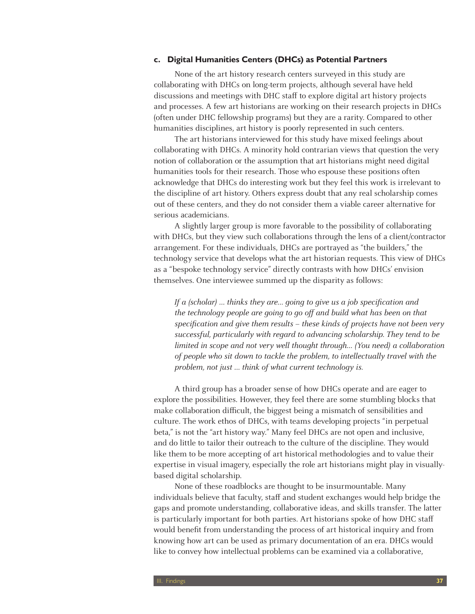#### **c. Digital Humanities Centers (DHCs) as Potential Partners**

None of the art history research centers surveyed in this study are collaborating with DHCs on long-term projects, although several have held discussions and meetings with DHC staff to explore digital art history projects and processes. A few art historians are working on their research projects in DHCs (often under DHC fellowship programs) but they are a rarity. Compared to other humanities disciplines, art history is poorly represented in such centers.

The art historians interviewed for this study have mixed feelings about collaborating with DHCs. A minority hold contrarian views that question the very notion of collaboration or the assumption that art historians might need digital humanities tools for their research. Those who espouse these positions often acknowledge that DHCs do interesting work but they feel this work is irrelevant to the discipline of art history. Others express doubt that any real scholarship comes out of these centers, and they do not consider them a viable career alternative for serious academicians.

A slightly larger group is more favorable to the possibility of collaborating with DHCs, but they view such collaborations through the lens of a client/contractor arrangement. For these individuals, DHCs are portrayed as "the builders," the technology service that develops what the art historian requests. This view of DHCs as a "bespoke technology service" directly contrasts with how DHCs' envision themselves. One interviewee summed up the disparity as follows:

If a (scholar)  $\ldots$  thinks they are... going to give us a job specification and the technology people are going to go off and build what has been on that specification and give them results – these kinds of projects have not been very successful, particularly with regard to advancing scholarship. They tend to be limited in scope and not very well thought through… (You need) a collaboration of people who sit down to tackle the problem, to intellectually travel with the problem, not just … think of what current technology is.

A third group has a broader sense of how DHCs operate and are eager to explore the possibilities. However, they feel there are some stumbling blocks that make collaboration difficult, the biggest being a mismatch of sensibilities and culture. The work ethos of DHCs, with teams developing projects "in perpetual beta," is not the "art history way." Many feel DHCs are not open and inclusive, and do little to tailor their outreach to the culture of the discipline. They would like them to be more accepting of art historical methodologies and to value their expertise in visual imagery, especially the role art historians might play in visuallybased digital scholarship.

None of these roadblocks are thought to be insurmountable. Many individuals believe that faculty, staff and student exchanges would help bridge the gaps and promote understanding, collaborative ideas, and skills transfer. The latter is particularly important for both parties. Art historians spoke of how DHC staff would benefit from understanding the process of art historical inquiry and from knowing how art can be used as primary documentation of an era. DHCs would like to convey how intellectual problems can be examined via a collaborative,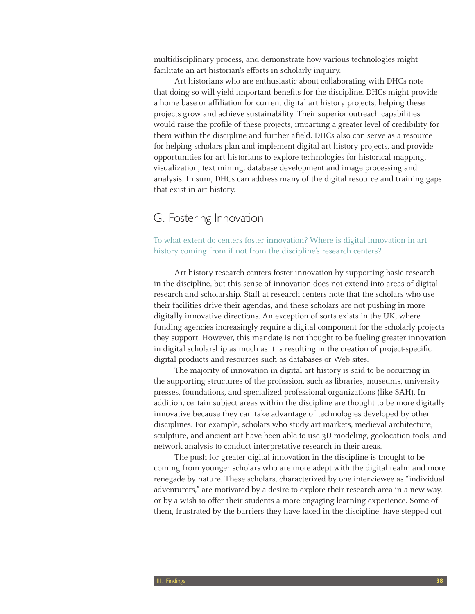multidisciplinary process, and demonstrate how various technologies might facilitate an art historian's efforts in scholarly inquiry.

Art historians who are enthusiastic about collaborating with DHCs note that doing so will yield important benefits for the discipline. DHCs might provide a home base or affiliation for current digital art history projects, helping these projects grow and achieve sustainability. Their superior outreach capabilities would raise the profile of these projects, imparting a greater level of credibility for them within the discipline and further afield. DHCs also can serve as a resource for helping scholars plan and implement digital art history projects, and provide opportunities for art historians to explore technologies for historical mapping, visualization, text mining, database development and image processing and analysis. In sum, DHCs can address many of the digital resource and training gaps that exist in art history.

# G. Fostering Innovation

To what extent do centers foster innovation? Where is digital innovation in art history coming from if not from the discipline's research centers?

Art history research centers foster innovation by supporting basic research in the discipline, but this sense of innovation does not extend into areas of digital research and scholarship. Staff at research centers note that the scholars who use their facilities drive their agendas, and these scholars are not pushing in more digitally innovative directions. An exception of sorts exists in the UK, where funding agencies increasingly require a digital component for the scholarly projects they support. However, this mandate is not thought to be fueling greater innovation in digital scholarship as much as it is resulting in the creation of project-specific digital products and resources such as databases or Web sites.

The majority of innovation in digital art history is said to be occurring in the supporting structures of the profession, such as libraries, museums, university presses, foundations, and specialized professional organizations (like SAH). In addition, certain subject areas within the discipline are thought to be more digitally innovative because they can take advantage of technologies developed by other disciplines. For example, scholars who study art markets, medieval architecture, sculpture, and ancient art have been able to use 3D modeling, geolocation tools, and network analysis to conduct interpretative research in their areas.

The push for greater digital innovation in the discipline is thought to be coming from younger scholars who are more adept with the digital realm and more renegade by nature. These scholars, characterized by one interviewee as "individual adventurers," are motivated by a desire to explore their research area in a new way, or by a wish to offer their students a more engaging learning experience. Some of them, frustrated by the barriers they have faced in the discipline, have stepped out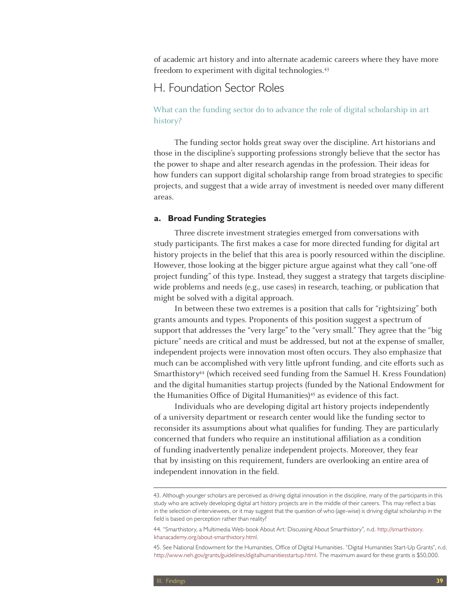of academic art history and into alternate academic careers where they have more freedom to experiment with digital technologies.<sup>43</sup>

# H. Foundation Sector Roles

#### What can the funding sector do to advance the role of digital scholarship in art history?

The funding sector holds great sway over the discipline. Art historians and those in the discipline's supporting professions strongly believe that the sector has the power to shape and alter research agendas in the profession. Their ideas for how funders can support digital scholarship range from broad strategies to specific projects, and suggest that a wide array of investment is needed over many different areas.

#### **a. Broad Funding Strategies**

Three discrete investment strategies emerged from conversations with study participants. The first makes a case for more directed funding for digital art history projects in the belief that this area is poorly resourced within the discipline. However, those looking at the bigger picture argue against what they call "one-off project funding" of this type. Instead, they suggest a strategy that targets disciplinewide problems and needs (e.g., use cases) in research, teaching, or publication that might be solved with a digital approach.

In between these two extremes is a position that calls for "rightsizing" both grants amounts and types. Proponents of this position suggest a spectrum of support that addresses the "very large" to the "very small." They agree that the "big picture" needs are critical and must be addressed, but not at the expense of smaller, independent projects were innovation most often occurs. They also emphasize that much can be accomplished with very little upfront funding, and cite efforts such as Smarthistory44 (which received seed funding from the Samuel H. Kress Foundation) and the digital humanities startup projects (funded by the National Endowment for the Humanities Office of Digital Humanities)<sup>45</sup> as evidence of this fact.

Individuals who are developing digital art history projects independently of a university department or research center would like the funding sector to reconsider its assumptions about what qualifies for funding. They are particularly concerned that funders who require an institutional affiliation as a condition of funding inadvertently penalize independent projects. Moreover, they fear that by insisting on this requirement, funders are overlooking an entire area of independent innovation in the field.

<sup>43.</sup> Although younger scholars are perceived as driving digital innovation in the discipline, many of the participants in this study who are actively developing digital art history projects are in the middle of their careers. This may reflect a bias in the selection of interviewees, or it may suggest that the question of who (age-wise) is driving digital scholarship in the field is based on perception rather than reality?

<sup>44. &</sup>quot;Smarthistory, a Multimedia Web-book About Art: Discussing About Smarthistory", n.d. http://smarthistory. khanacademy.org/about-smarthistory.html.

<sup>45.</sup> See National Endowment for the Humanities, Office of Digital Humanities. "Digital Humanities Start-Up Grants", n.d. http://www.neh.gov/grants/guidelines/digitalhumanitiesstartup.html. The maximum award for these grants is \$50,000.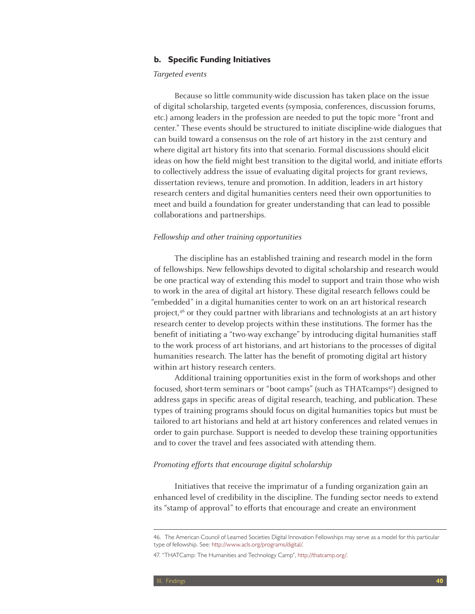#### **b. Specific Funding Initiatives**

#### Targeted events

Because so little community-wide discussion has taken place on the issue of digital scholarship, targeted events (symposia, conferences, discussion forums, etc.) among leaders in the profession are needed to put the topic more "front and center." These events should be structured to initiate discipline-wide dialogues that can build toward a consensus on the role of art history in the 21st century and where digital art history fits into that scenario. Formal discussions should elicit ideas on how the field might best transition to the digital world, and initiate efforts to collectively address the issue of evaluating digital projects for grant reviews, dissertation reviews, tenure and promotion. In addition, leaders in art history research centers and digital humanities centers need their own opportunities to meet and build a foundation for greater understanding that can lead to possible collaborations and partnerships.

#### Fellowship and other training opportunities

The discipline has an established training and research model in the form of fellowships. New fellowships devoted to digital scholarship and research would be one practical way of extending this model to support and train those who wish to work in the area of digital art history. These digital research fellows could be "embedded" in a digital humanities center to work on an art historical research project,46 or they could partner with librarians and technologists at an art history research center to develop projects within these institutions. The former has the benefit of initiating a "two-way exchange" by introducing digital humanities staff to the work process of art historians, and art historians to the processes of digital humanities research. The latter has the benefit of promoting digital art history within art history research centers.

Additional training opportunities exist in the form of workshops and other focused, short-term seminars or "boot camps" (such as THATcamps<sup>47</sup>) designed to address gaps in specific areas of digital research, teaching, and publication. These types of training programs should focus on digital humanities topics but must be tailored to art historians and held at art history conferences and related venues in order to gain purchase. Support is needed to develop these training opportunities and to cover the travel and fees associated with attending them.

#### Promoting efforts that encourage digital scholarship

Initiatives that receive the imprimatur of a funding organization gain an enhanced level of credibility in the discipline. The funding sector needs to extend its "stamp of approval" to efforts that encourage and create an environment

<sup>46.</sup> The American Council of Learned Societies Digital Innovation Fellowships may serve as a model for this particular type of fellowship. See: http://www.acls.org/programs/digital/.

<sup>47. &</sup>quot;THATCamp: The Humanities and Technology Camp", http://thatcamp.org/.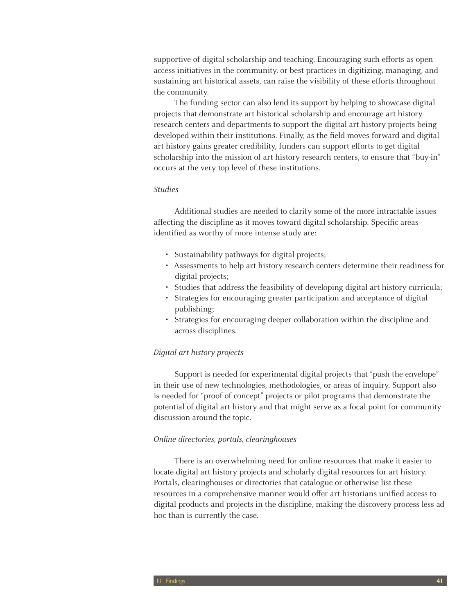supportive of digital scholarship and teaching. Encouraging such efforts as open access initiatives in the community, or best practices in digitizing, managing, and sustaining art historical assets, can raise the visibility of these efforts throughout the community.

The funding sector can also lend its support by helping to showcase digital projects that demonstrate art historical scholarship and encourage art history research centers and departments to support the digital art history projects being developed within their institutions. Finally, as the field moves forward and digital art history gains greater credibility, funders can support efforts to get digital scholarship into the mission of art history research centers, to ensure that "buy-in" occurs at the very top level of these institutions.

#### Studies

Additional studies are needed to clarify some of the more intractable issues affecting the discipline as it moves toward digital scholarship. Specific areas identified as worthy of more intense study are:

- Sustainability pathways for digital projects;
- • Assessments to help art history research centers determine their readiness for digital projects;
- Studies that address the feasibility of developing digital art history curricula;
- • Strategies for encouraging greater participation and acceptance of digital publishing;
- Strategies for encouraging deeper collaboration within the discipline and across disciplines.

#### Digital art history projects

Support is needed for experimental digital projects that "push the envelope" in their use of new technologies, methodologies, or areas of inquiry. Support also is needed for "proof of concept" projects or pilot programs that demonstrate the potential of digital art history and that might serve as a focal point for community discussion around the topic.

#### Online directories, portals, clearinghouses

There is an overwhelming need for online resources that make it easier to locate digital art history projects and scholarly digital resources for art history. Portals, clearinghouses or directories that catalogue or otherwise list these resources in a comprehensive manner would offer art historians unified access to digital products and projects in the discipline, making the discovery process less ad hoc than is currently the case.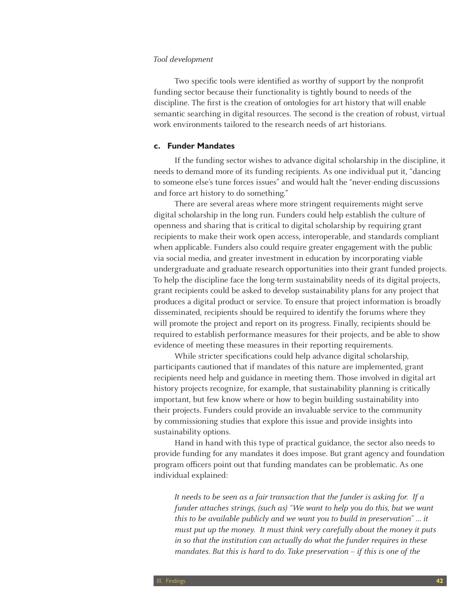#### Tool development

Two specific tools were identified as worthy of support by the nonprofit funding sector because their functionality is tightly bound to needs of the discipline. The first is the creation of ontologies for art history that will enable semantic searching in digital resources. The second is the creation of robust, virtual work environments tailored to the research needs of art historians.

#### **c. Funder Mandates**

If the funding sector wishes to advance digital scholarship in the discipline, it needs to demand more of its funding recipients. As one individual put it, "dancing to someone else's tune forces issues" and would halt the "never-ending discussions and force art history to do something."

There are several areas where more stringent requirements might serve digital scholarship in the long run. Funders could help establish the culture of openness and sharing that is critical to digital scholarship by requiring grant recipients to make their work open access, interoperable, and standards compliant when applicable. Funders also could require greater engagement with the public via social media, and greater investment in education by incorporating viable undergraduate and graduate research opportunities into their grant funded projects. To help the discipline face the long-term sustainability needs of its digital projects, grant recipients could be asked to develop sustainability plans for any project that produces a digital product or service. To ensure that project information is broadly disseminated, recipients should be required to identify the forums where they will promote the project and report on its progress. Finally, recipients should be required to establish performance measures for their projects, and be able to show evidence of meeting these measures in their reporting requirements.

While stricter specifications could help advance digital scholarship, participants cautioned that if mandates of this nature are implemented, grant recipients need help and guidance in meeting them. Those involved in digital art history projects recognize, for example, that sustainability planning is critically important, but few know where or how to begin building sustainability into their projects. Funders could provide an invaluable service to the community by commissioning studies that explore this issue and provide insights into sustainability options.

Hand in hand with this type of practical guidance, the sector also needs to provide funding for any mandates it does impose. But grant agency and foundation program officers point out that funding mandates can be problematic. As one individual explained:

It needs to be seen as a fair transaction that the funder is asking for. If a funder attaches strings, (such as) "We want to help you do this, but we want this to be available publicly and we want you to build in preservation" … it must put up the money. It must think very carefully about the money it puts in so that the institution can actually do what the funder requires in these mandates. But this is hard to do. Take preservation – if this is one of the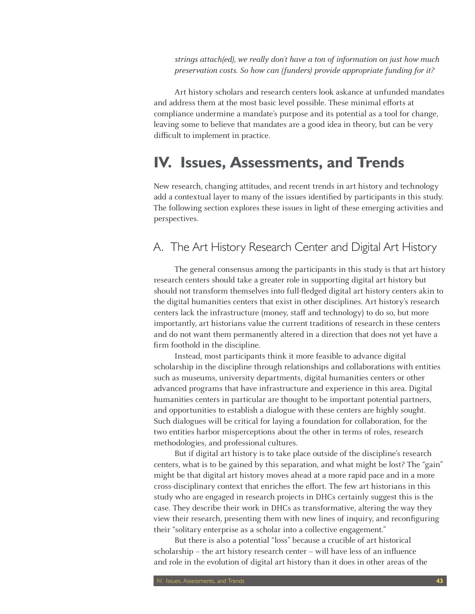strings attach(ed), we really don't have a ton of information on just how much preservation costs. So how can (funders) provide appropriate funding for it?

Art history scholars and research centers look askance at unfunded mandates and address them at the most basic level possible. These minimal efforts at compliance undermine a mandate's purpose and its potential as a tool for change, leaving some to believe that mandates are a good idea in theory, but can be very difficult to implement in practice.

# **IV. Issues, Assessments, and Trends**

New research, changing attitudes, and recent trends in art history and technology add a contextual layer to many of the issues identified by participants in this study. The following section explores these issues in light of these emerging activities and perspectives.

# A. The Art History Research Center and Digital Art History

The general consensus among the participants in this study is that art history research centers should take a greater role in supporting digital art history but should not transform themselves into full-fledged digital art history centers akin to the digital humanities centers that exist in other disciplines. Art history's research centers lack the infrastructure (money, staff and technology) to do so, but more importantly, art historians value the current traditions of research in these centers and do not want them permanently altered in a direction that does not yet have a firm foothold in the discipline.

Instead, most participants think it more feasible to advance digital scholarship in the discipline through relationships and collaborations with entities such as museums, university departments, digital humanities centers or other advanced programs that have infrastructure and experience in this area. Digital humanities centers in particular are thought to be important potential partners, and opportunities to establish a dialogue with these centers are highly sought. Such dialogues will be critical for laying a foundation for collaboration, for the two entities harbor misperceptions about the other in terms of roles, research methodologies, and professional cultures.

But if digital art history is to take place outside of the discipline's research centers, what is to be gained by this separation, and what might be lost? The "gain" might be that digital art history moves ahead at a more rapid pace and in a more cross-disciplinary context that enriches the effort. The few art historians in this study who are engaged in research projects in DHCs certainly suggest this is the case. They describe their work in DHCs as transformative, altering the way they view their research, presenting them with new lines of inquiry, and reconfiguring their "solitary enterprise as a scholar into a collective engagement."

But there is also a potential "loss" because a crucible of art historical scholarship – the art history research center – will have less of an influence and role in the evolution of digital art history than it does in other areas of the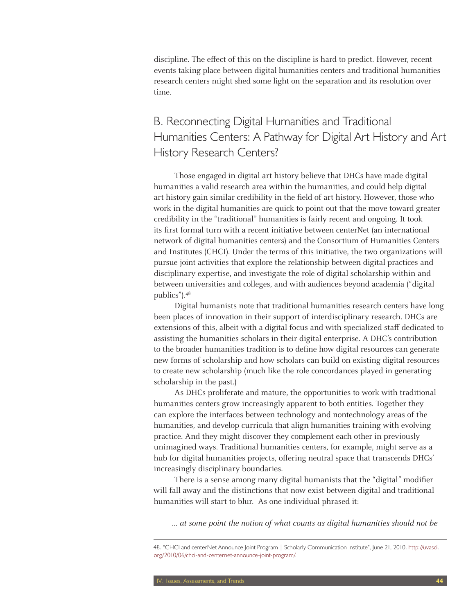discipline. The effect of this on the discipline is hard to predict. However, recent events taking place between digital humanities centers and traditional humanities research centers might shed some light on the separation and its resolution over time.

# B. Reconnecting Digital Humanities and Traditional Humanities Centers: A Pathway for Digital Art History and Art History Research Centers?

Those engaged in digital art history believe that DHCs have made digital humanities a valid research area within the humanities, and could help digital art history gain similar credibility in the field of art history. However, those who work in the digital humanities are quick to point out that the move toward greater credibility in the "traditional" humanities is fairly recent and ongoing. It took its first formal turn with a recent initiative between centerNet (an international network of digital humanities centers) and the Consortium of Humanities Centers and Institutes (CHCI). Under the terms of this initiative, the two organizations will pursue joint activities that explore the relationship between digital practices and disciplinary expertise, and investigate the role of digital scholarship within and between universities and colleges, and with audiences beyond academia ("digital publics").48

Digital humanists note that traditional humanities research centers have long been places of innovation in their support of interdisciplinary research. DHCs are extensions of this, albeit with a digital focus and with specialized staff dedicated to assisting the humanities scholars in their digital enterprise. A DHC's contribution to the broader humanities tradition is to define how digital resources can generate new forms of scholarship and how scholars can build on existing digital resources to create new scholarship (much like the role concordances played in generating scholarship in the past.)

As DHCs proliferate and mature, the opportunities to work with traditional humanities centers grow increasingly apparent to both entities. Together they can explore the interfaces between technology and nontechnology areas of the humanities, and develop curricula that align humanities training with evolving practice. And they might discover they complement each other in previously unimagined ways. Traditional humanities centers, for example, might serve as a hub for digital humanities projects, offering neutral space that transcends DHCs' increasingly disciplinary boundaries.

There is a sense among many digital humanists that the "digital" modifier will fall away and the distinctions that now exist between digital and traditional humanities will start to blur. As one individual phrased it:

… at some point the notion of what counts as digital humanities should not be

<sup>48. &</sup>quot;CHCI and centerNet Announce Joint Program | Scholarly Communication Institute", June 21, 2010. http://uvasci. org/2010/06/chci-and-centernet-announce-joint-program/.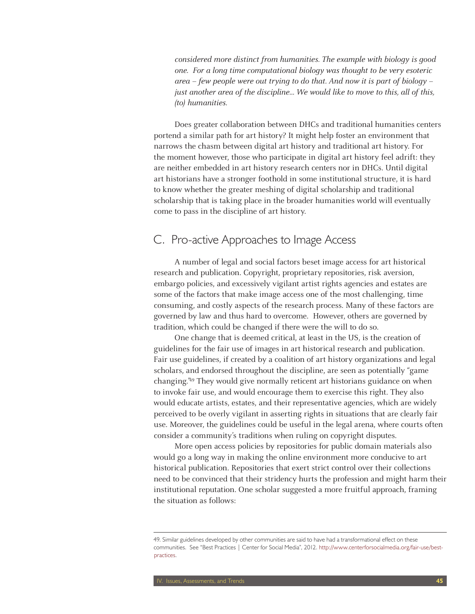considered more distinct from humanities. The example with biology is good one. For a long time computational biology was thought to be very esoteric area – few people were out trying to do that. And now it is part of biology – just another area of the discipline... We would like to move to this, all of this, (to) humanities.

Does greater collaboration between DHCs and traditional humanities centers portend a similar path for art history? It might help foster an environment that narrows the chasm between digital art history and traditional art history. For the moment however, those who participate in digital art history feel adrift: they are neither embedded in art history research centers nor in DHCs. Until digital art historians have a stronger foothold in some institutional structure, it is hard to know whether the greater meshing of digital scholarship and traditional scholarship that is taking place in the broader humanities world will eventually come to pass in the discipline of art history.

## C. Pro-active Approaches to Image Access

A number of legal and social factors beset image access for art historical research and publication. Copyright, proprietary repositories, risk aversion, embargo policies, and excessively vigilant artist rights agencies and estates are some of the factors that make image access one of the most challenging, time consuming, and costly aspects of the research process. Many of these factors are governed by law and thus hard to overcome. However, others are governed by tradition, which could be changed if there were the will to do so.

One change that is deemed critical, at least in the US, is the creation of guidelines for the fair use of images in art historical research and publication. Fair use guidelines, if created by a coalition of art history organizations and legal scholars, and endorsed throughout the discipline, are seen as potentially "game changing."49 They would give normally reticent art historians guidance on when to invoke fair use, and would encourage them to exercise this right. They also would educate artists, estates, and their representative agencies, which are widely perceived to be overly vigilant in asserting rights in situations that are clearly fair use. Moreover, the guidelines could be useful in the legal arena, where courts often consider a community's traditions when ruling on copyright disputes.

More open access policies by repositories for public domain materials also would go a long way in making the online environment more conducive to art historical publication. Repositories that exert strict control over their collections need to be convinced that their stridency hurts the profession and might harm their institutional reputation. One scholar suggested a more fruitful approach, framing the situation as follows:

<sup>49.</sup> Similar guidelines developed by other communities are said to have had a transformational effect on these communities. See "Best Practices | Center for Social Media", 2012. http://www.centerforsocialmedia.org/fair-use/bestpractices.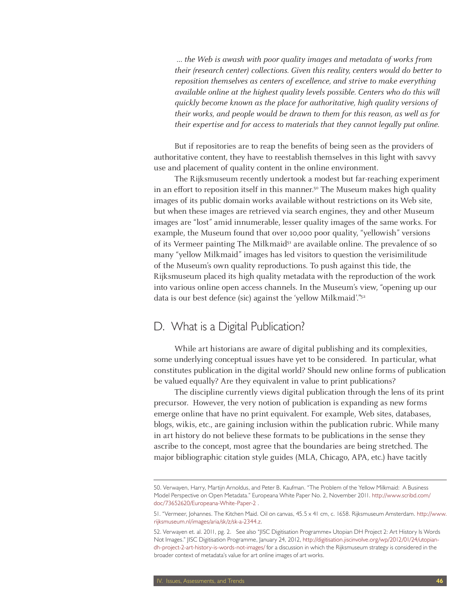… the Web is awash with poor quality images and metadata of works from their (research center) collections. Given this reality, centers would do better to reposition themselves as centers of excellence, and strive to make everything available online at the highest quality levels possible. Centers who do this will quickly become known as the place for authoritative, high quality versions of their works, and people would be drawn to them for this reason, as well as for their expertise and for access to materials that they cannot legally put online.

But if repositories are to reap the benefits of being seen as the providers of authoritative content, they have to reestablish themselves in this light with savvy use and placement of quality content in the online environment.

The Rijksmuseum recently undertook a modest but far-reaching experiment in an effort to reposition itself in this manner.<sup>50</sup> The Museum makes high quality images of its public domain works available without restrictions on its Web site, but when these images are retrieved via search engines, they and other Museum images are "lost" amid innumerable, lesser quality images of the same works. For example, the Museum found that over 10,000 poor quality, "yellowish" versions of its Vermeer painting The Milkmaid<sup>51</sup> are available online. The prevalence of so many "yellow Milkmaid" images has led visitors to question the verisimilitude of the Museum's own quality reproductions. To push against this tide, the Rijksmuseum placed its high quality metadata with the reproduction of the work into various online open access channels. In the Museum's view, "opening up our data is our best defence (sic) against the 'yellow Milkmaid'."52

### D. What is a Digital Publication?

While art historians are aware of digital publishing and its complexities, some underlying conceptual issues have yet to be considered. In particular, what constitutes publication in the digital world? Should new online forms of publication be valued equally? Are they equivalent in value to print publications?

The discipline currently views digital publication through the lens of its print precursor. However, the very notion of publication is expanding as new forms emerge online that have no print equivalent. For example, Web sites, databases, blogs, wikis, etc., are gaining inclusion within the publication rubric. While many in art history do not believe these formats to be publications in the sense they ascribe to the concept, most agree that the boundaries are being stretched. The major bibliographic citation style guides (MLA, Chicago, APA, etc.) have tacitly

<sup>50.</sup> Verwayen, Harry, Martijn Arnoldus, and Peter B. Kaufman. "The Problem of the Yellow Milkmaid: A Business Model Perspective on Open Metadata." Europeana White Paper No. 2, November 2011. http://www.scribd.com/ doc/73652620/Europeana-White-Paper-2 .

<sup>51. &</sup>quot;Vermeer, Johannes. The Kitchen Maid. Oil on canvas, 45.5 x 41 cm, c. 1658. Rijksmuseum Amsterdam. http://www. rijksmuseum.nl/images/aria/sk/z/sk-a-2344.z.

<sup>52.</sup> Verwayen et. al. 2011, pg. 2. See also "JISC Digitisation Programme» Utopian DH Project 2: Art History Is Words Not Images." JISC Digitisation Programme, January 24, 2012, http://digitisation.jiscinvolve.org/wp/2012/01/24/utopiandh-project-2-art-history-is-words-not-images/ for a discussion in which the Rijksmuseum strategy is considered in the broader context of metadata's value for art online images of art works.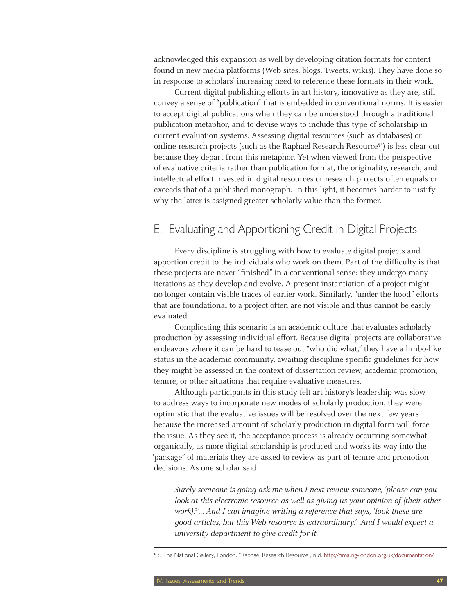acknowledged this expansion as well by developing citation formats for content found in new media platforms (Web sites, blogs, Tweets, wikis). They have done so in response to scholars' increasing need to reference these formats in their work.

Current digital publishing efforts in art history, innovative as they are, still convey a sense of "publication" that is embedded in conventional norms. It is easier to accept digital publications when they can be understood through a traditional publication metaphor, and to devise ways to include this type of scholarship in current evaluation systems. Assessing digital resources (such as databases) or online research projects (such as the Raphael Research Resource53) is less clear-cut because they depart from this metaphor. Yet when viewed from the perspective of evaluative criteria rather than publication format, the originality, research, and intellectual effort invested in digital resources or research projects often equals or exceeds that of a published monograph. In this light, it becomes harder to justify why the latter is assigned greater scholarly value than the former.

# E. Evaluating and Apportioning Credit in Digital Projects

Every discipline is struggling with how to evaluate digital projects and apportion credit to the individuals who work on them. Part of the difficulty is that these projects are never "finished" in a conventional sense: they undergo many iterations as they develop and evolve. A present instantiation of a project might no longer contain visible traces of earlier work. Similarly, "under the hood" efforts that are foundational to a project often are not visible and thus cannot be easily evaluated.

Complicating this scenario is an academic culture that evaluates scholarly production by assessing individual effort. Because digital projects are collaborative endeavors where it can be hard to tease out "who did what," they have a limbo-like status in the academic community, awaiting discipline-specific guidelines for how they might be assessed in the context of dissertation review, academic promotion, tenure, or other situations that require evaluative measures.

Although participants in this study felt art history's leadership was slow to address ways to incorporate new modes of scholarly production, they were optimistic that the evaluative issues will be resolved over the next few years because the increased amount of scholarly production in digital form will force the issue. As they see it, the acceptance process is already occurring somewhat organically, as more digital scholarship is produced and works its way into the "package" of materials they are asked to review as part of tenure and promotion decisions. As one scholar said:

Surely someone is going ask me when I next review someone, 'please can you look at this electronic resource as well as giving us your opinion of (their other work)?'… And I can imagine writing a reference that says, 'look these are good articles, but this Web resource is extraordinary.' And I would expect a university department to give credit for it.

53. The National Gallery, London. "Raphael Research Resource", n.d. http://cima.ng-london.org.uk/documentation/.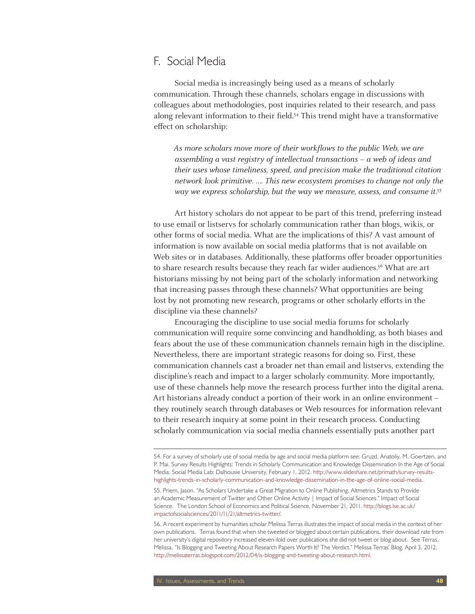### F. Social Media

Social media is increasingly being used as a means of scholarly communication. Through these channels, scholars engage in discussions with colleagues about methodologies, post inquiries related to their research, and pass along relevant information to their field.54 This trend might have a transformative effect on scholarship:

As more scholars move more of their workflows to the public Web, we are assembling a vast registry of intellectual transactions – a web of ideas and their uses whose timeliness, speed, and precision make the traditional citation network look primitive. …. This new ecosystem promises to change not only the way we express scholarship, but the way we measure, assess, and consume it.<sup>55</sup>

Art history scholars do not appear to be part of this trend, preferring instead to use email or listservs for scholarly communication rather than blogs, wikis, or other forms of social media. What are the implications of this? A vast amount of information is now available on social media platforms that is not available on Web sites or in databases. Additionally, these platforms offer broader opportunities to share research results because they reach far wider audiences.<sup>56</sup> What are art historians missing by not being part of the scholarly information and networking that increasing passes through these channels? What opportunities are being lost by not promoting new research, programs or other scholarly efforts in the discipline via these channels?

Encouraging the discipline to use social media forums for scholarly communication will require some convincing and handholding, as both biases and fears about the use of these communication channels remain high in the discipline. Nevertheless, there are important strategic reasons for doing so. First, these communication channels cast a broader net than email and listservs, extending the discipline's reach and impact to a larger scholarly community. More importantly, use of these channels help move the research process further into the digital arena. Art historians already conduct a portion of their work in an online environment – they routinely search through databases or Web resources for information relevant to their research inquiry at some point in their research process. Conducting scholarly communication via social media channels essentially puts another part

<sup>54.</sup> For a survey of scholarly use of social media by age and social media platform see: Gruzd, Anatoliy, M. Goertzen, and P. Mai. Survey Results Highlights: Trends in Scholarly Communication and Knowledge Dissemination In the Age of Social Media. Social Media Lab: Dalhousie University, February 1, 2012. http://www.slideshare.net/primath/survey-resultshighlights-trends-in-scholarly-communication-and-knowledge-dissemination-in-the-age-of-online-social-media.

<sup>55.</sup> Priem, Jason. "As Scholars Undertake a Great Migration to Online Publishing, Altmetrics Stands to Provide an Academic Measurement of Twitter and Other Online Activity | Impact of Social Sciences." Impact of Social Science. The London School of Economics and Political Science, November 21, 2011. http://blogs.lse.ac.uk/ impactofsocialsciences/2011/11/21/altmetrics-twitter/.

<sup>56.</sup> A recent experiment by humanities scholar Melissa Terras illustrates the impact of social media in the context of her own publications. Terras found that when she tweeted or blogged about certain publications, their download rate from her university's digital repository increased eleven-fold over publications she did not tweet or blog about. See Terras, Melissa. "Is Blogging and Tweeting About Research Papers Worth It? The Verdict." Melissa Terras' Blog, April 3, 2012. http://melissaterras.blogspot.com/2012/04/is-blogging-and-tweeting-about-research.html.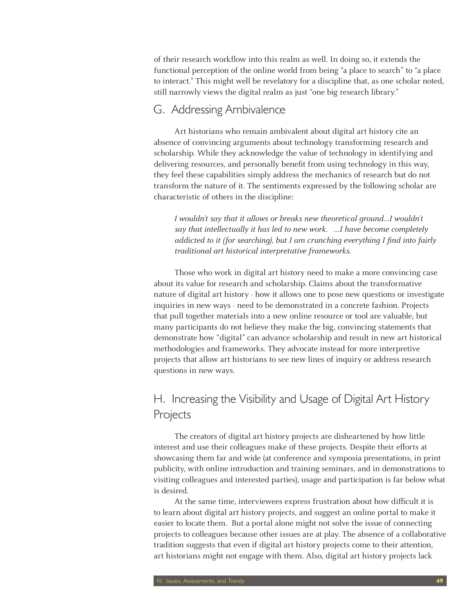of their research workflow into this realm as well. In doing so, it extends the functional perception of the online world from being "a place to search" to "a place to interact." This might well be revelatory for a discipline that, as one scholar noted, still narrowly views the digital realm as just "one big research library."

### G. Addressing Ambivalence

Art historians who remain ambivalent about digital art history cite an absence of convincing arguments about technology transforming research and scholarship. While they acknowledge the value of technology in identifying and delivering resources, and personally benefit from using technology in this way, they feel these capabilities simply address the mechanics of research but do not transform the nature of it. The sentiments expressed by the following scholar are characteristic of others in the discipline:

I wouldn't say that it allows or breaks new theoretical ground…I wouldn't say that intellectually it has led to new work. …I have become completely addicted to it (for searching), but I am crunching everything I find into fairly traditional art historical interpretative frameworks.

Those who work in digital art history need to make a more convincing case about its value for research and scholarship. Claims about the transformative nature of digital art history - how it allows one to pose new questions or investigate inquiries in new ways - need to be demonstrated in a concrete fashion. Projects that pull together materials into a new online resource or tool are valuable, but many participants do not believe they make the big, convincing statements that demonstrate how "digital" can advance scholarship and result in new art historical methodologies and frameworks. They advocate instead for more interpretive projects that allow art historians to see new lines of inquiry or address research questions in new ways.

# H. Increasing the Visibility and Usage of Digital Art History Projects

The creators of digital art history projects are disheartened by how little interest and use their colleagues make of these projects. Despite their efforts at showcasing them far and wide (at conference and symposia presentations, in print publicity, with online introduction and training seminars, and in demonstrations to visiting colleagues and interested parties), usage and participation is far below what is desired.

At the same time, interviewees express frustration about how difficult it is to learn about digital art history projects, and suggest an online portal to make it easier to locate them. But a portal alone might not solve the issue of connecting projects to colleagues because other issues are at play. The absence of a collaborative tradition suggests that even if digital art history projects come to their attention, art historians might not engage with them. Also, digital art history projects lack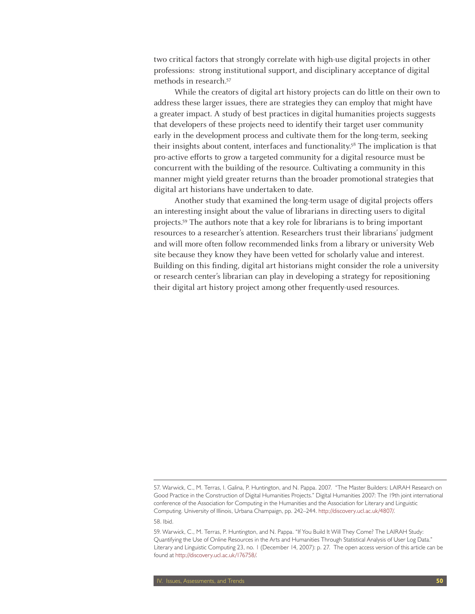two critical factors that strongly correlate with high-use digital projects in other professions: strong institutional support, and disciplinary acceptance of digital methods in research.57

While the creators of digital art history projects can do little on their own to address these larger issues, there are strategies they can employ that might have a greater impact. A study of best practices in digital humanities projects suggests that developers of these projects need to identify their target user community early in the development process and cultivate them for the long-term, seeking their insights about content, interfaces and functionality.58 The implication is that pro-active efforts to grow a targeted community for a digital resource must be concurrent with the building of the resource. Cultivating a community in this manner might yield greater returns than the broader promotional strategies that digital art historians have undertaken to date.

Another study that examined the long-term usage of digital projects offers an interesting insight about the value of librarians in directing users to digital projects.59 The authors note that a key role for librarians is to bring important resources to a researcher's attention. Researchers trust their librarians' judgment and will more often follow recommended links from a library or university Web site because they know they have been vetted for scholarly value and interest. Building on this finding, digital art historians might consider the role a university or research center's librarian can play in developing a strategy for repositioning their digital art history project among other frequently-used resources.

<sup>57.</sup> Warwick, C., M. Terras, I. Galina, P. Huntington, and N. Pappa. 2007. "The Master Builders: LAIRAH Research on Good Practice in the Construction of Digital Humanities Projects." Digital Humanities 2007: The 19th joint international conference of the Association for Computing in the Humanities and the Association for Literary and Linguistic Computing. University of Illinois, Urbana Champaign, pp. 242–244. http://discovery.ucl.ac.uk/4807/.

<sup>58.</sup> Ibid.

<sup>59.</sup> Warwick, C., M. Terras, P. Huntington, and N. Pappa. "If You Build It Will They Come? The LAIRAH Study: Quantifying the Use of Online Resources in the Arts and Humanities Through Statistical Analysis of User Log Data." Literary and Linguistic Computing 23, no. 1 (December 14, 2007): p. 27. The open access version of this article can be found at http://discovery.ucl.ac.uk/176758/.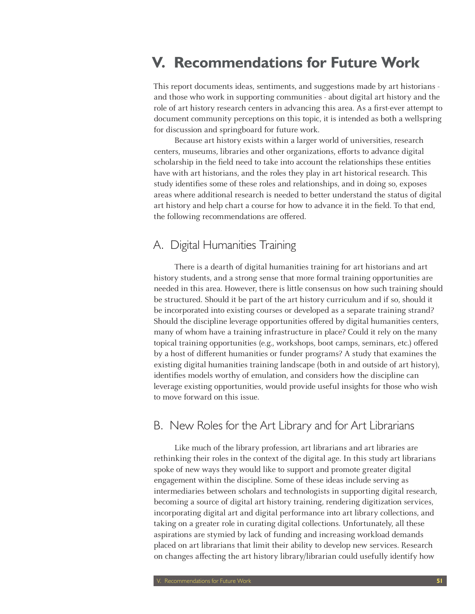# **V. Recommendations for Future Work**

This report documents ideas, sentiments, and suggestions made by art historians and those who work in supporting communities - about digital art history and the role of art history research centers in advancing this area. As a first-ever attempt to document community perceptions on this topic, it is intended as both a wellspring for discussion and springboard for future work.

Because art history exists within a larger world of universities, research centers, museums, libraries and other organizations, efforts to advance digital scholarship in the field need to take into account the relationships these entities have with art historians, and the roles they play in art historical research. This study identifies some of these roles and relationships, and in doing so, exposes areas where additional research is needed to better understand the status of digital art history and help chart a course for how to advance it in the field. To that end, the following recommendations are offered.

# A. Digital Humanities Training

There is a dearth of digital humanities training for art historians and art history students, and a strong sense that more formal training opportunities are needed in this area. However, there is little consensus on how such training should be structured. Should it be part of the art history curriculum and if so, should it be incorporated into existing courses or developed as a separate training strand? Should the discipline leverage opportunities offered by digital humanities centers, many of whom have a training infrastructure in place? Could it rely on the many topical training opportunities (e.g., workshops, boot camps, seminars, etc.) offered by a host of different humanities or funder programs? A study that examines the existing digital humanities training landscape (both in and outside of art history), identifies models worthy of emulation, and considers how the discipline can leverage existing opportunities, would provide useful insights for those who wish to move forward on this issue.

### B. New Roles for the Art Library and for Art Librarians

Like much of the library profession, art librarians and art libraries are rethinking their roles in the context of the digital age. In this study art librarians spoke of new ways they would like to support and promote greater digital engagement within the discipline. Some of these ideas include serving as intermediaries between scholars and technologists in supporting digital research, becoming a source of digital art history training, rendering digitization services, incorporating digital art and digital performance into art library collections, and taking on a greater role in curating digital collections. Unfortunately, all these aspirations are stymied by lack of funding and increasing workload demands placed on art librarians that limit their ability to develop new services. Research on changes affecting the art history library/librarian could usefully identify how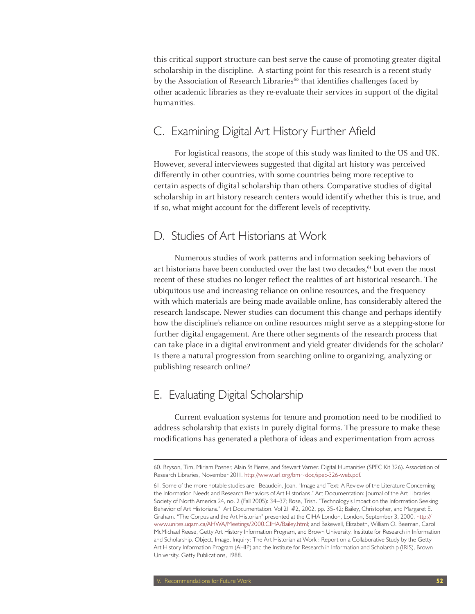this critical support structure can best serve the cause of promoting greater digital scholarship in the discipline. A starting point for this research is a recent study by the Association of Research Libraries<sup>60</sup> that identifies challenges faced by other academic libraries as they re-evaluate their services in support of the digital humanities.

# C. Examining Digital Art History Further Afield

For logistical reasons, the scope of this study was limited to the US and UK. However, several interviewees suggested that digital art history was perceived differently in other countries, with some countries being more receptive to certain aspects of digital scholarship than others. Comparative studies of digital scholarship in art history research centers would identify whether this is true, and if so, what might account for the different levels of receptivity.

### D. Studies of Art Historians at Work

Numerous studies of work patterns and information seeking behaviors of art historians have been conducted over the last two decades,<sup>61</sup> but even the most recent of these studies no longer reflect the realities of art historical research. The ubiquitous use and increasing reliance on online resources, and the frequency with which materials are being made available online, has considerably altered the research landscape. Newer studies can document this change and perhaps identify how the discipline's reliance on online resources might serve as a stepping-stone for further digital engagement. Are there other segments of the research process that can take place in a digital environment and yield greater dividends for the scholar? Is there a natural progression from searching online to organizing, analyzing or publishing research online?

# E. Evaluating Digital Scholarship

Current evaluation systems for tenure and promotion need to be modified to address scholarship that exists in purely digital forms. The pressure to make these modifications has generated a plethora of ideas and experimentation from across

<sup>60.</sup> Bryson, Tim, Miriam Posner, Alain St Pierre, and Stewart Varner. Digital Humanities (SPEC Kit 326). Association of Research Libraries, November 2011. http://www.arl.org/bm~doc/spec-326-web.pdf.

<sup>61.</sup> Some of the more notable studies are: Beaudoin, Joan. "Image and Text: A Review of the Literature Concerning the Information Needs and Research Behaviors of Art Historians." Art Documentation: Journal of the Art Libraries Society of North America 24, no. 2 (Fall 2005): 34–37; Rose, Trish. "Technology's Impact on the Information Seeking Behavior of Art Historians." Art Documentation. Vol 21 #2, 2002, pp. 35-42; Bailey, Christopher, and Margaret E. Graham. "The Corpus and the Art Historian" presented at the CIHA London, London, September 3, 2000. http:// www.unites.uqam.ca/AHWA/Meetings/2000.CIHA/Bailey.html; and Bakewell, Elizabeth, William O. Beeman, Carol McMichael Reese, Getty Art History Information Program, and Brown University. Institute for Research in Information and Scholarship. Object, Image, Inquiry: The Art Historian at Work : Report on a Collaborative Study by the Getty Art History Information Program (AHIP) and the Institute for Research in Information and Scholarship (IRIS), Brown University. Getty Publications, 1988.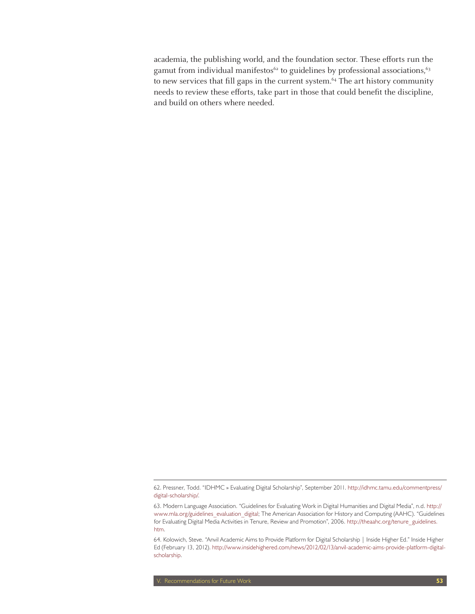academia, the publishing world, and the foundation sector. These efforts run the gamut from individual manifestos<sup>62</sup> to guidelines by professional associations,<sup>63</sup> to new services that fill gaps in the current system.<sup>64</sup> The art history community needs to review these efforts, take part in those that could benefit the discipline, and build on others where needed.

<sup>62.</sup> Pressner, Todd. "IDHMC » Evaluating Digital Scholarship", September 2011. http://idhmc.tamu.edu/commentpress/ digital-scholarship/.

<sup>63.</sup> Modern Language Association. "Guidelines for Evaluating Work in Digital Humanities and Digital Media", n.d. http:// www.mla.org/guidelines\_evaluation\_digital; The American Association for History and Computing (AAHC). "Guidelines for Evaluating Digital Media Activities in Tenure, Review and Promotion", 2006. http://theaahc.org/tenure\_guidelines. htm.

<sup>64.</sup> Kolowich, Steve. "Anvil Academic Aims to Provide Platform for Digital Scholarship | Inside Higher Ed." Inside Higher Ed (February 13, 2012). http://www.insidehighered.com/news/2012/02/13/anvil-academic-aims-provide-platform-digitalscholarship.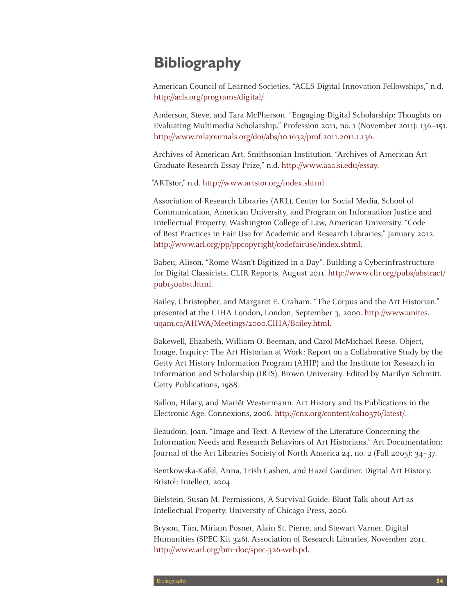# **Bibliography**

American Council of Learned Societies. "ACLS Digital Innovation Fellowships," n.d. http://acls.org/programs/digital/.

Anderson, Steve, and Tara McPherson. "Engaging Digital Scholarship: Thoughts on Evaluating Multimedia Scholarship." Profession 2011, no. 1 (November 2011): 136–151. http://www.mlajournals.org/doi/abs/10.1632/prof.2011.2011.1.136.

Archives of American Art, Smithsonian Institution. "Archives of American Art Graduate Research Essay Prize," n.d. http://www.aaa.si.edu/essay.

"ARTstor," n.d. http://www.artstor.org/index.shtml.

Association of Research Libraries (ARL), Center for Social Media, School of Communication, American University, and Program on Information Justice and Intellectual Property, Washington College of Law, American University. "Code of Best Practices in Fair Use for Academic and Research Libraries," January 2012. http://www.arl.org/pp/ppcopyright/codefairuse/index.shtml.

Babeu, Alison. "Rome Wasn't Digitized in a Day": Building a Cyberinfrastructure for Digital Classicists. CLIR Reports, August 2011. http://www.clir.org/pubs/abstract/ pub150abst.html.

Bailey, Christopher, and Margaret E. Graham. "The Corpus and the Art Historian." presented at the CIHA London, London, September 3, 2000. http://www.unites. uqam.ca/AHWA/Meetings/2000.CIHA/Bailey.html.

Bakewell, Elizabeth, William O. Beeman, and Carol McMichael Reese. Object, Image, Inquiry: The Art Historian at Work: Report on a Collaborative Study by the Getty Art History Information Program (AHIP) and the Institute for Research in Information and Scholarship (IRIS), Brown University. Edited by Marilyn Schmitt. Getty Publications, 1988.

Ballon, Hilary, and Mariët Westermann. Art History and Its Publications in the Electronic Age. Connexions, 2006. http://cnx.org/content/col10376/latest/.

Beaudoin, Joan. "Image and Text: A Review of the Literature Concerning the Information Needs and Research Behaviors of Art Historians." Art Documentation: Journal of the Art Libraries Society of North America 24, no. 2 (Fall 2005): 34–37.

Bentkowska-Kafel, Anna, Trish Cashen, and Hazel Gardiner. Digital Art History. Bristol: Intellect, 2004.

Bielstein, Susan M. Permissions, A Survival Guide: Blunt Talk about Art as Intellectual Property. University of Chicago Press, 2006.

Bryson, Tim, Miriam Posner, Alain St. Pierre, and Stewart Varner. Digital Humanities (SPEC Kit 326). Association of Research Libraries, November 2011. http://www.arl.org/bm~doc/spec-326-web.pd.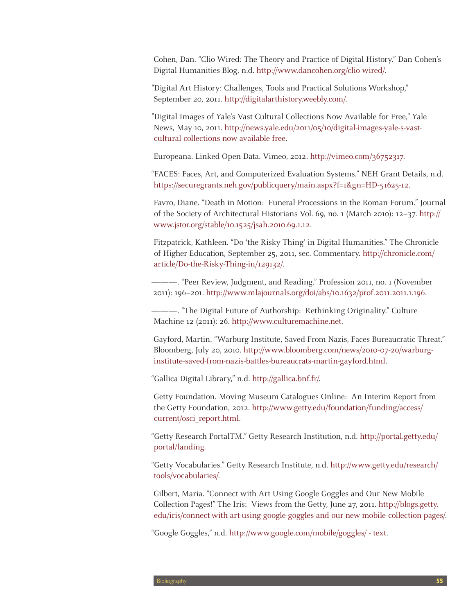Cohen, Dan. "Clio Wired: The Theory and Practice of Digital History." Dan Cohen's Digital Humanities Blog, n.d. http://www.dancohen.org/clio-wired/.

"Digital Art History: Challenges, Tools and Practical Solutions Workshop," September 20, 2011. http://digitalarthistory.weebly.com/.

"Digital Images of Yale's Vast Cultural Collections Now Available for Free," Yale News, May 10, 2011. http://news.yale.edu/2011/05/10/digital-images-yale-s-vastcultural-collections-now-available-free.

Europeana. Linked Open Data. Vimeo, 2012. http://vimeo.com/36752317.

"FACES: Faces, Art, and Computerized Evaluation Systems." NEH Grant Details, n.d. https://securegrants.neh.gov/publicquery/main.aspx?f=1&gn=HD-51625-12.

Favro, Diane. "Death in Motion: Funeral Processions in the Roman Forum." Journal of the Society of Architectural Historians Vol. 69, no. 1 (March 2010): 12–37. http:// www.jstor.org/stable/10.1525/jsah.2010.69.1.12.

Fitzpatrick, Kathleen. "Do 'the Risky Thing' in Digital Humanities." The Chronicle of Higher Education, September 25, 2011, sec. Commentary. http://chronicle.com/ article/Do-the-Risky-Thing-in/129132/.

———. "Peer Review, Judgment, and Reading." Profession 2011, no. 1 (November 2011): 196–201. http://www.mlajournals.org/doi/abs/10.1632/prof.2011.2011.1.196.

———. "The Digital Future of Authorship: Rethinking Originality." Culture Machine 12 (2011): 26. http://www.culturemachine.net.

Gayford, Martin. "Warburg Institute, Saved From Nazis, Faces Bureaucratic Threat." Bloomberg, July 20, 2010. http://www.bloomberg.com/news/2010-07-20/warburginstitute-saved-from-nazis-battles-bureaucrats-martin-gayford.html.

"Gallica Digital Library," n.d. http://gallica.bnf.fr/.

Getty Foundation. Moving Museum Catalogues Online: An Interim Report from the Getty Foundation, 2012. http://www.getty.edu/foundation/funding/access/ current/osci\_report.html.

"Getty Research PortalTM." Getty Research Institution, n.d. http://portal.getty.edu/ portal/landing.

"Getty Vocabularies." Getty Research Institute, n.d. http://www.getty.edu/research/ tools/vocabularies/.

Gilbert, Maria. "Connect with Art Using Google Goggles and Our New Mobile Collection Pages!" The Iris: Views from the Getty, June 27, 2011. http://blogs.getty. edu/iris/connect-with-art-using-google-goggles-and-our-new-mobile-collection-pages/.

"Google Goggles," n.d. http://www.google.com/mobile/goggles/ - text.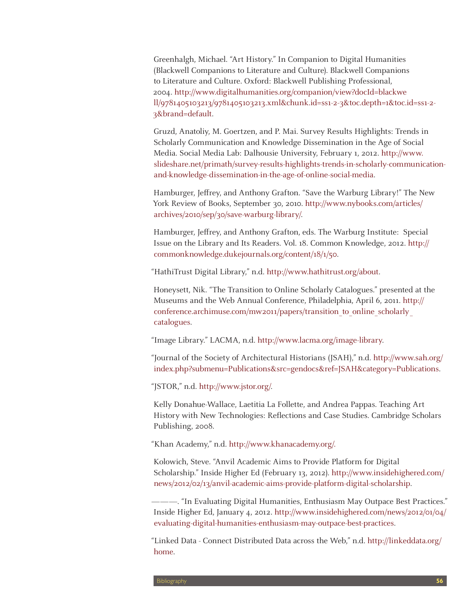Greenhalgh, Michael. "Art History." In Companion to Digital Humanities (Blackwell Companions to Literature and Culture). Blackwell Companions to Literature and Culture. Oxford: Blackwell Publishing Professional, 2004. http://www.digitalhumanities.org/companion/view?docId=blackwe ll/9781405103213/9781405103213.xml&chunk.id=ss1-2-3&toc.depth=1&toc.id=ss1-2- 3&brand=default.

Gruzd, Anatoliy, M. Goertzen, and P. Mai. Survey Results Highlights: Trends in Scholarly Communication and Knowledge Dissemination in the Age of Social Media. Social Media Lab: Dalhousie University, February 1, 2012. http://www. slideshare.net/primath/survey-results-highlights-trends-in-scholarly-communicationand-knowledge-dissemination-in-the-age-of-online-social-media.

Hamburger, Jeffrey, and Anthony Grafton. "Save the Warburg Library!" The New York Review of Books, September 30, 2010. http://www.nybooks.com/articles/ archives/2010/sep/30/save-warburg-library/.

Hamburger, Jeffrey, and Anthony Grafton, eds. The Warburg Institute: Special Issue on the Library and Its Readers. Vol. 18. Common Knowledge, 2012. http:// commonknowledge.dukejournals.org/content/18/1/50.

"HathiTrust Digital Library," n.d. http://www.hathitrust.org/about.

Honeysett, Nik. "The Transition to Online Scholarly Catalogues." presented at the Museums and the Web Annual Conference, Philadelphia, April 6, 2011. http:// conference.archimuse.com/mw2011/papers/transition to online scholarly catalogues.

"Image Library." LACMA, n.d. http://www.lacma.org/image-library.

"Journal of the Society of Architectural Historians (JSAH)," n.d. http://www.sah.org/ index.php?submenu=Publications&src=gendocs&ref=JSAH&category=Publications.

"JSTOR," n.d. http://www.jstor.org/.

Kelly Donahue-Wallace, Laetitia La Follette, and Andrea Pappas. Teaching Art History with New Technologies: Reflections and Case Studies. Cambridge Scholars Publishing, 2008.

"Khan Academy," n.d. http://www.khanacademy.org/.

Kolowich, Steve. "Anvil Academic Aims to Provide Platform for Digital Scholarship." Inside Higher Ed (February 13, 2012). http://www.insidehighered.com/ news/2012/02/13/anvil-academic-aims-provide-platform-digital-scholarship.

———. "In Evaluating Digital Humanities, Enthusiasm May Outpace Best Practices." Inside Higher Ed, January 4, 2012. http://www.insidehighered.com/news/2012/01/04/ evaluating-digital-humanities-enthusiasm-may-outpace-best-practices.

"Linked Data - Connect Distributed Data across the Web," n.d. http://linkeddata.org/ home.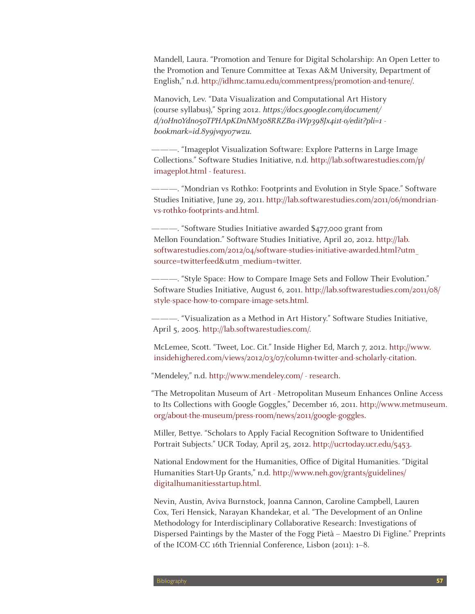Mandell, Laura. "Promotion and Tenure for Digital Scholarship: An Open Letter to the Promotion and Tenure Committee at Texas A&M University, Department of English," n.d. http://idhmc.tamu.edu/commentpress/promotion-and-tenure/.

Manovich, Lev. "Data Visualization and Computational Art History (course syllabus)," Spring 2012. https://docs.google.com/document/ d/1oHn0Ydno50TPHApKDnNM308RRZBa-iWp398Jx4i1t-o/edit?pli=1 bookmark=id.8y9jvqyo7wzu.

———. "Imageplot Visualization Software: Explore Patterns in Large Image Collections." Software Studies Initiative, n.d. http://lab.softwarestudies.com/p/ imageplot.html - features1.

———. "Mondrian vs Rothko: Footprints and Evolution in Style Space." Software Studies Initiative, June 29, 2011. http://lab.softwarestudies.com/2011/06/mondrianvs-rothko-footprints-and.html.

———. "Software Studies Initiative awarded \$477,000 grant from Mellon Foundation." Software Studies Initiative, April 20, 2012. http://lab. softwarestudies.com/2012/04/software-studies-initiative-awarded.html?utm\_ source=twitterfeed&utm\_medium=twitter.

———. "Style Space: How to Compare Image Sets and Follow Their Evolution." Software Studies Initiative, August 6, 2011. http://lab.softwarestudies.com/2011/08/ style-space-how-to-compare-image-sets.html.

———. "Visualization as a Method in Art History." Software Studies Initiative, April 5, 2005. http://lab.softwarestudies.com/.

McLemee, Scott. "Tweet, Loc. Cit." Inside Higher Ed, March 7, 2012. http://www. insidehighered.com/views/2012/03/07/column-twitter-and-scholarly-citation.

"Mendeley," n.d. http://www.mendeley.com/ - research.

"The Metropolitan Museum of Art - Metropolitan Museum Enhances Online Access to Its Collections with Google Goggles," December 16, 2011. http://www.metmuseum. org/about-the-museum/press-room/news/2011/google-goggles.

Miller, Bettye. "Scholars to Apply Facial Recognition Software to Unidentified Portrait Subjects." UCR Today, April 25, 2012. http://ucrtoday.ucr.edu/5453.

National Endowment for the Humanities, Office of Digital Humanities. "Digital Humanities Start-Up Grants," n.d. http://www.neh.gov/grants/guidelines/ digitalhumanitiesstartup.html.

Nevin, Austin, Aviva Burnstock, Joanna Cannon, Caroline Campbell, Lauren Cox, Teri Hensick, Narayan Khandekar, et al. "The Development of an Online Methodology for Interdisciplinary Collaborative Research: Investigations of Dispersed Paintings by the Master of the Fogg Pietà – Maestro Di Figline." Preprints of the ICOM-CC 16th Triennial Conference, Lisbon (2011): 1–8.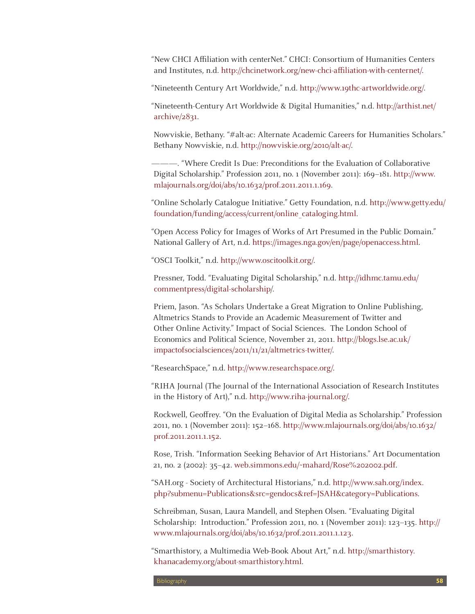"New CHCI Affiliation with centerNet." CHCI: Consortium of Humanities Centers and Institutes, n.d. http://chcinetwork.org/new-chci-affiliation-with-centernet/.

"Nineteenth Century Art Worldwide," n.d. http://www.19thc-artworldwide.org/.

"Nineteenth-Century Art Worldwide & Digital Humanities," n.d. http://arthist.net/ archive/2831.

Nowviskie, Bethany. "#alt-ac: Alternate Academic Careers for Humanities Scholars." Bethany Nowviskie, n.d. http://nowviskie.org/2010/alt-ac/.

———. "Where Credit Is Due: Preconditions for the Evaluation of Collaborative Digital Scholarship." Profession 2011, no. 1 (November 2011): 169–181. http://www. mlajournals.org/doi/abs/10.1632/prof.2011.2011.1.169.

"Online Scholarly Catalogue Initiative." Getty Foundation, n.d. http://www.getty.edu/ foundation/funding/access/current/online\_cataloging.html.

"Open Access Policy for Images of Works of Art Presumed in the Public Domain." National Gallery of Art, n.d. https://images.nga.gov/en/page/openaccess.html.

"OSCI Toolkit," n.d. http://www.oscitoolkit.org/.

Pressner, Todd. "Evaluating Digital Scholarship," n.d. http://idhmc.tamu.edu/ commentpress/digital-scholarship/.

Priem, Jason. "As Scholars Undertake a Great Migration to Online Publishing, Altmetrics Stands to Provide an Academic Measurement of Twitter and Other Online Activity." Impact of Social Sciences. The London School of Economics and Political Science, November 21, 2011. http://blogs.lse.ac.uk/ impactofsocialsciences/2011/11/21/altmetrics-twitter/.

"ResearchSpace," n.d. http://www.researchspace.org/.

"RIHA Journal (The Journal of the International Association of Research Institutes in the History of Art)," n.d. http://www.riha-journal.org/.

Rockwell, Geoffrey. "On the Evaluation of Digital Media as Scholarship." Profession 2011, no. 1 (November 2011): 152–168. http://www.mlajournals.org/doi/abs/10.1632/ prof.2011.2011.1.152.

Rose, Trish. "Information Seeking Behavior of Art Historians." Art Documentation 21, no. 2 (2002): 35–42. web.simmons.edu/~mahard/Rose%202002.pdf.

"SAH.org - Society of Architectural Historians," n.d. http://www.sah.org/index. php?submenu=Publications&src=gendocs&ref=JSAH&category=Publications.

Schreibman, Susan, Laura Mandell, and Stephen Olsen. "Evaluating Digital Scholarship: Introduction." Profession 2011, no. 1 (November 2011): 123–135. http:// www.mlajournals.org/doi/abs/10.1632/prof.2011.2011.1.123.

"Smarthistory, a Multimedia Web-Book About Art," n.d. http://smarthistory. khanacademy.org/about-smarthistory.html.

Bibliography **58**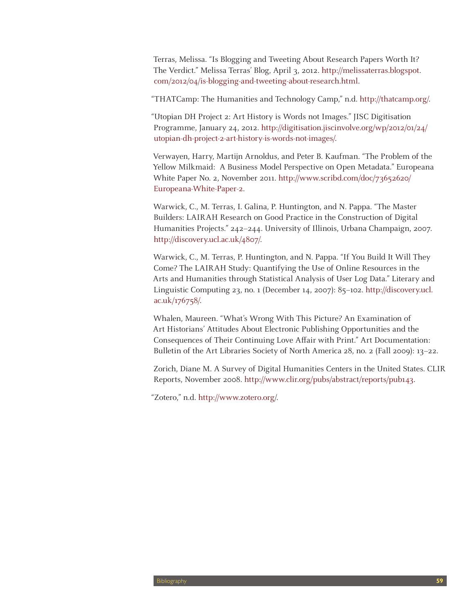Terras, Melissa. "Is Blogging and Tweeting About Research Papers Worth It? The Verdict." Melissa Terras' Blog, April 3, 2012. http://melissaterras.blogspot. com/2012/04/is-blogging-and-tweeting-about-research.html.

"THATCamp: The Humanities and Technology Camp," n.d. http://thatcamp.org/.

"Utopian DH Project 2: Art History is Words not Images." JISC Digitisation Programme, January 24, 2012. http://digitisation.jiscinvolve.org/wp/2012/01/24/ utopian-dh-project-2-art-history-is-words-not-images/.

Verwayen, Harry, Martijn Arnoldus, and Peter B. Kaufman. "The Problem of the Yellow Milkmaid: A Business Model Perspective on Open Metadata." Europeana White Paper No. 2, November 2011. http://www.scribd.com/doc/73652620/ Europeana-White-Paper-2.

Warwick, C., M. Terras, I. Galina, P. Huntington, and N. Pappa. "The Master Builders: LAIRAH Research on Good Practice in the Construction of Digital Humanities Projects." 242–244. University of Illinois, Urbana Champaign, 2007. http://discovery.ucl.ac.uk/4807/.

Warwick, C., M. Terras, P. Huntington, and N. Pappa. "If You Build It Will They Come? The LAIRAH Study: Quantifying the Use of Online Resources in the Arts and Humanities through Statistical Analysis of User Log Data." Literary and Linguistic Computing 23, no. 1 (December 14, 2007): 85–102. http://discovery.ucl. ac.uk/176758/.

Whalen, Maureen. "What's Wrong With This Picture? An Examination of Art Historians' Attitudes About Electronic Publishing Opportunities and the Consequences of Their Continuing Love Affair with Print." Art Documentation: Bulletin of the Art Libraries Society of North America 28, no. 2 (Fall 2009): 13–22.

Zorich, Diane M. A Survey of Digital Humanities Centers in the United States. CLIR Reports, November 2008. http://www.clir.org/pubs/abstract/reports/pub143.

"Zotero," n.d. http://www.zotero.org/.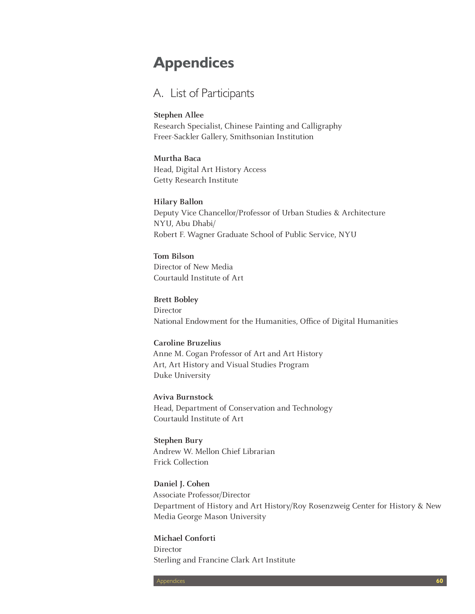# **Appendices**

# A. List of Participants

#### **Stephen Allee**

Research Specialist, Chinese Painting and Calligraphy Freer-Sackler Gallery, Smithsonian Institution

#### **Murtha Baca**

Head, Digital Art History Access Getty Research Institute

#### **Hilary Ballon**

Deputy Vice Chancellor/Professor of Urban Studies & Architecture NYU, Abu Dhabi/ Robert F. Wagner Graduate School of Public Service, NYU

## **Tom Bilson** Director of New Media

Courtauld Institute of Art

#### **Brett Bobley**

Director National Endowment for the Humanities, Office of Digital Humanities

#### **Caroline Bruzelius**

Anne M. Cogan Professor of Art and Art History Art, Art History and Visual Studies Program Duke University

**Aviva Burnstock** Head, Department of Conservation and Technology Courtauld Institute of Art

**Stephen Bury** Andrew W. Mellon Chief Librarian Frick Collection

**Daniel J. Cohen** Associate Professor/Director Department of History and Art History/Roy Rosenzweig Center for History & New Media George Mason University

**Michael Conforti** Director Sterling and Francine Clark Art Institute

Appendices **60**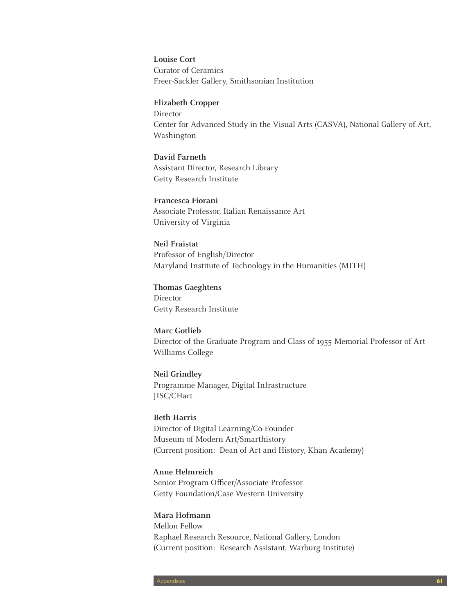**Louise Cort** Curator of Ceramics Freer-Sackler Gallery, Smithsonian Institution

#### **Elizabeth Cropper**

Director Center for Advanced Study in the Visual Arts (CASVA), National Gallery of Art, Washington

#### **David Farneth**

Assistant Director, Research Library Getty Research Institute

#### **Francesca Fiorani**

Associate Professor, Italian Renaissance Art University of Virginia

#### **Neil Fraistat**

Professor of English/Director Maryland Institute of Technology in the Humanities (MITH)

#### **Thomas Gaeghtens** Director

Getty Research Institute

### **Marc Gotlieb** Director of the Graduate Program and Class of 1955 Memorial Professor of Art Williams College

**Neil Grindley** Programme Manager, Digital Infrastructure JISC/CHart

#### **Beth Harris** Director of Digital Learning/Co-Founder Museum of Modern Art/Smarthistory (Current position: Dean of Art and History, Khan Academy)

#### **Anne Helmreich** Senior Program Officer/Associate Professor

Getty Foundation/Case Western University

#### **Mara Hofmann**

Mellon Fellow Raphael Research Resource, National Gallery, London (Current position: Research Assistant, Warburg Institute)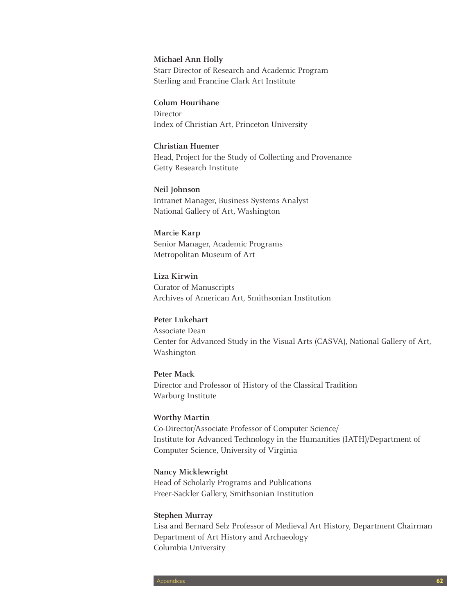#### **Michael Ann Holly**

Starr Director of Research and Academic Program Sterling and Francine Clark Art Institute

#### **Colum Hourihane**

Director Index of Christian Art, Princeton University

#### **Christian Huemer**

Head, Project for the Study of Collecting and Provenance Getty Research Institute

**Neil Johnson** Intranet Manager, Business Systems Analyst National Gallery of Art, Washington

**Marcie Karp**  Senior Manager, Academic Programs Metropolitan Museum of Art

**Liza Kirwin** Curator of Manuscripts Archives of American Art, Smithsonian Institution

**Peter Lukehart** Associate Dean Center for Advanced Study in the Visual Arts (CASVA), National Gallery of Art, Washington

**Peter Mack** Director and Professor of History of the Classical Tradition Warburg Institute

#### **Worthy Martin**

Co-Director/Associate Professor of Computer Science/ Institute for Advanced Technology in the Humanities (IATH)/Department of Computer Science, University of Virginia

#### **Nancy Micklewright**

Head of Scholarly Programs and Publications Freer-Sackler Gallery, Smithsonian Institution

#### **Stephen Murray**

Lisa and Bernard Selz Professor of Medieval Art History, Department Chairman Department of Art History and Archaeology Columbia University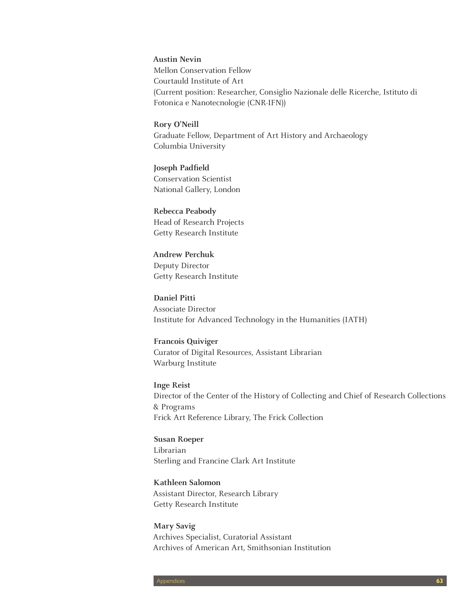**Austin Nevin** Mellon Conservation Fellow Courtauld Institute of Art (Current position: Researcher, Consiglio Nazionale delle Ricerche, Istituto di Fotonica e Nanotecnologie (CNR-IFN))

**Rory O'Neill** Graduate Fellow, Department of Art History and Archaeology Columbia University

**Joseph Padfield** Conservation Scientist National Gallery, London

**Rebecca Peabody** Head of Research Projects Getty Research Institute

**Andrew Perchuk** Deputy Director Getty Research Institute

**Daniel Pitti** Associate Director Institute for Advanced Technology in the Humanities (IATH)

**Francois Quiviger** Curator of Digital Resources, Assistant Librarian Warburg Institute

**Inge Reist** Director of the Center of the History of Collecting and Chief of Research Collections & Programs Frick Art Reference Library, The Frick Collection

**Susan Roeper** Librarian Sterling and Francine Clark Art Institute

**Kathleen Salomon** Assistant Director, Research Library Getty Research Institute

**Mary Savig** Archives Specialist, Curatorial Assistant Archives of American Art, Smithsonian Institution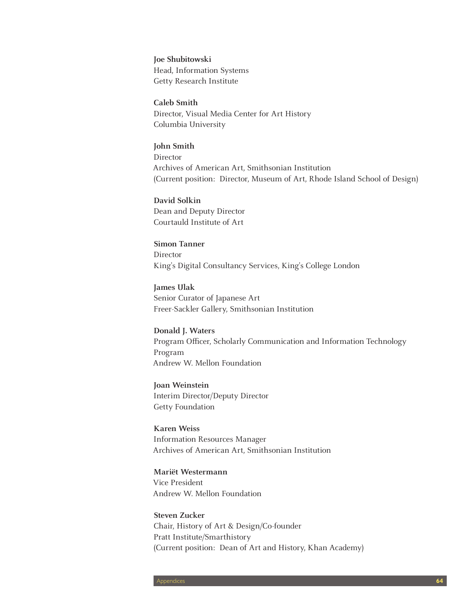**Joe Shubitowski** Head, Information Systems Getty Research Institute

**Caleb Smith** Director, Visual Media Center for Art History Columbia University

**John Smith**  Director Archives of American Art, Smithsonian Institution (Current position: Director, Museum of Art, Rhode Island School of Design)

**David Solkin** Dean and Deputy Director Courtauld Institute of Art

**Simon Tanner** Director King's Digital Consultancy Services, King's College London

**James Ulak** Senior Curator of Japanese Art Freer-Sackler Gallery, Smithsonian Institution

**Donald J. Waters** Program Officer, Scholarly Communication and Information Technology Program Andrew W. Mellon Foundation

**Joan Weinstein** Interim Director/Deputy Director Getty Foundation

**Karen Weiss** Information Resources Manager Archives of American Art, Smithsonian Institution

**Mariët Westermann** Vice President Andrew W. Mellon Foundation

**Steven Zucker** Chair, History of Art & Design/Co-founder Pratt Institute/Smarthistory (Current position: Dean of Art and History, Khan Academy)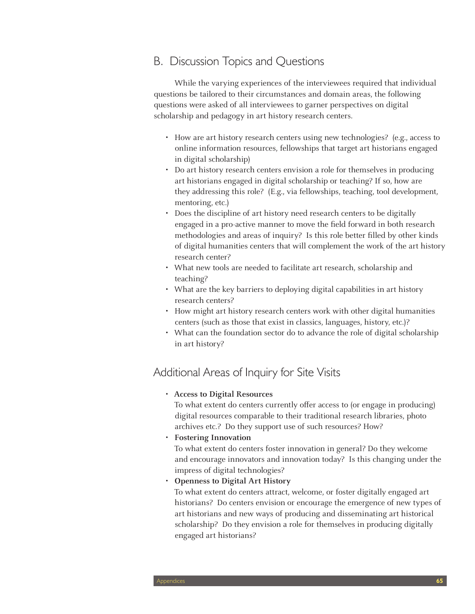# B. Discussion Topics and Questions

While the varying experiences of the interviewees required that individual questions be tailored to their circumstances and domain areas, the following questions were asked of all interviewees to garner perspectives on digital scholarship and pedagogy in art history research centers.

- • How are art history research centers using new technologies? (e.g., access to online information resources, fellowships that target art historians engaged in digital scholarship)
- Do art history research centers envision a role for themselves in producing art historians engaged in digital scholarship or teaching? If so, how are they addressing this role? (E.g., via fellowships, teaching, tool development, mentoring, etc.)
- Does the discipline of art history need research centers to be digitally engaged in a pro-active manner to move the field forward in both research methodologies and areas of inquiry? Is this role better filled by other kinds of digital humanities centers that will complement the work of the art history research center?
- What new tools are needed to facilitate art research, scholarship and teaching?
- What are the key barriers to deploying digital capabilities in art history research centers?
- How might art history research centers work with other digital humanities centers (such as those that exist in classics, languages, history, etc.)?
- What can the foundation sector do to advance the role of digital scholarship in art history?

# Additional Areas of Inquiry for Site Visits

• **Access to Digital Resources**

To what extent do centers currently offer access to (or engage in producing) digital resources comparable to their traditional research libraries, photo archives etc.? Do they support use of such resources? How?

• **Fostering Innovation**

To what extent do centers foster innovation in general? Do they welcome and encourage innovators and innovation today? Is this changing under the impress of digital technologies?

**Openness to Digital Art History** 

To what extent do centers attract, welcome, or foster digitally engaged art historians? Do centers envision or encourage the emergence of new types of art historians and new ways of producing and disseminating art historical scholarship? Do they envision a role for themselves in producing digitally engaged art historians?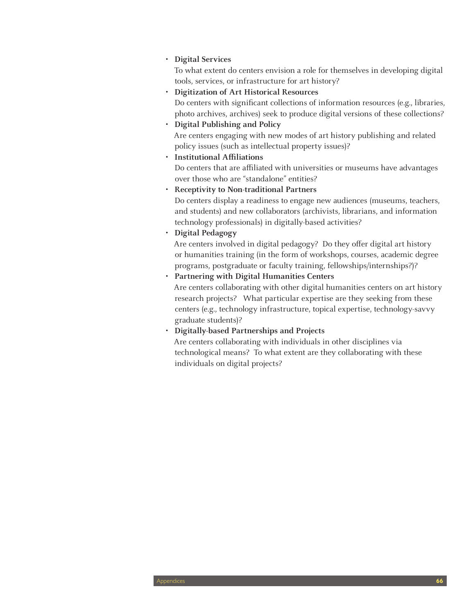#### • **Digital Services**

To what extent do centers envision a role for themselves in developing digital tools, services, or infrastructure for art history?

- • **Digitization of Art Historical Resources**  Do centers with significant collections of information resources (e.g., libraries, photo archives, archives) seek to produce digital versions of these collections?
- • **Digital Publishing and Policy** Are centers engaging with new modes of art history publishing and related policy issues (such as intellectual property issues)?
- • **Institutional Affiliations**

Do centers that are affiliated with universities or museums have advantages over those who are "standalone" entities?

• **Receptivity to Non-traditional Partners**

Do centers display a readiness to engage new audiences (museums, teachers, and students) and new collaborators (archivists, librarians, and information technology professionals) in digitally-based activities?

• **Digital Pedagogy**

Are centers involved in digital pedagogy? Do they offer digital art history or humanities training (in the form of workshops, courses, academic degree programs, postgraduate or faculty training, fellowships/internships?)?

• **Partnering with Digital Humanities Centers**

Are centers collaborating with other digital humanities centers on art history research projects? What particular expertise are they seeking from these centers (e.g., technology infrastructure, topical expertise, technology-savvy graduate students)?

• **Digitally-based Partnerships and Projects**

Are centers collaborating with individuals in other disciplines via technological means? To what extent are they collaborating with these individuals on digital projects?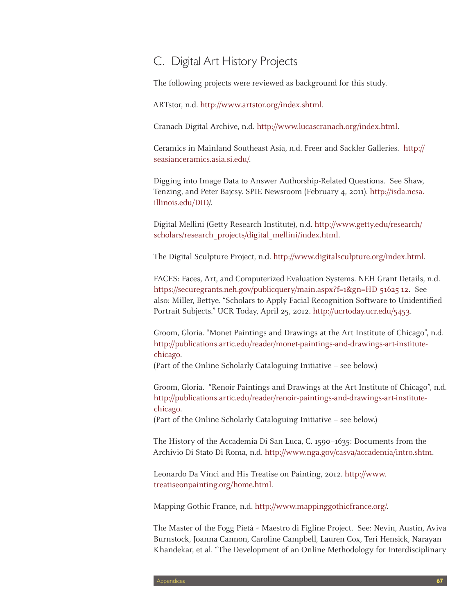# C. Digital Art History Projects

The following projects were reviewed as background for this study.

ARTstor, n.d. http://www.artstor.org/index.shtml.

Cranach Digital Archive, n.d. http://www.lucascranach.org/index.html.

Ceramics in Mainland Southeast Asia, n.d. Freer and Sackler Galleries. http:// seasianceramics.asia.si.edu/.

Digging into Image Data to Answer Authorship-Related Questions. See Shaw, Tenzing, and Peter Bajcsy. SPIE Newsroom (February 4, 2011). http://isda.ncsa. illinois.edu/DID/.

Digital Mellini (Getty Research Institute), n.d. http://www.getty.edu/research/ scholars/research\_projects/digital\_mellini/index.html.

The Digital Sculpture Project, n.d. http://www.digitalsculpture.org/index.html.

FACES: Faces, Art, and Computerized Evaluation Systems. NEH Grant Details, n.d. https://securegrants.neh.gov/publicquery/main.aspx?f=1&gn=HD-51625-12. See also: Miller, Bettye. "Scholars to Apply Facial Recognition Software to Unidentified Portrait Subjects." UCR Today, April 25, 2012. http://ucrtoday.ucr.edu/5453.

Groom, Gloria. "Monet Paintings and Drawings at the Art Institute of Chicago", n.d. http://publications.artic.edu/reader/monet-paintings-and-drawings-art-institutechicago.

(Part of the Online Scholarly Cataloguing Initiative – see below.)

Groom, Gloria. "Renoir Paintings and Drawings at the Art Institute of Chicago", n.d. http://publications.artic.edu/reader/renoir-paintings-and-drawings-art-institutechicago.

(Part of the Online Scholarly Cataloguing Initiative – see below.)

The History of the Accademia Di San Luca, C. 1590–1635: Documents from the Archivio Di Stato Di Roma, n.d. http://www.nga.gov/casva/accademia/intro.shtm.

Leonardo Da Vinci and His Treatise on Painting, 2012. http://www. treatiseonpainting.org/home.html.

Mapping Gothic France, n.d. http://www.mappinggothicfrance.org/.

The Master of the Fogg Pietà ~ Maestro di Figline Project. See: Nevin, Austin, Aviva Burnstock, Joanna Cannon, Caroline Campbell, Lauren Cox, Teri Hensick, Narayan Khandekar, et al. "The Development of an Online Methodology for Interdisciplinary